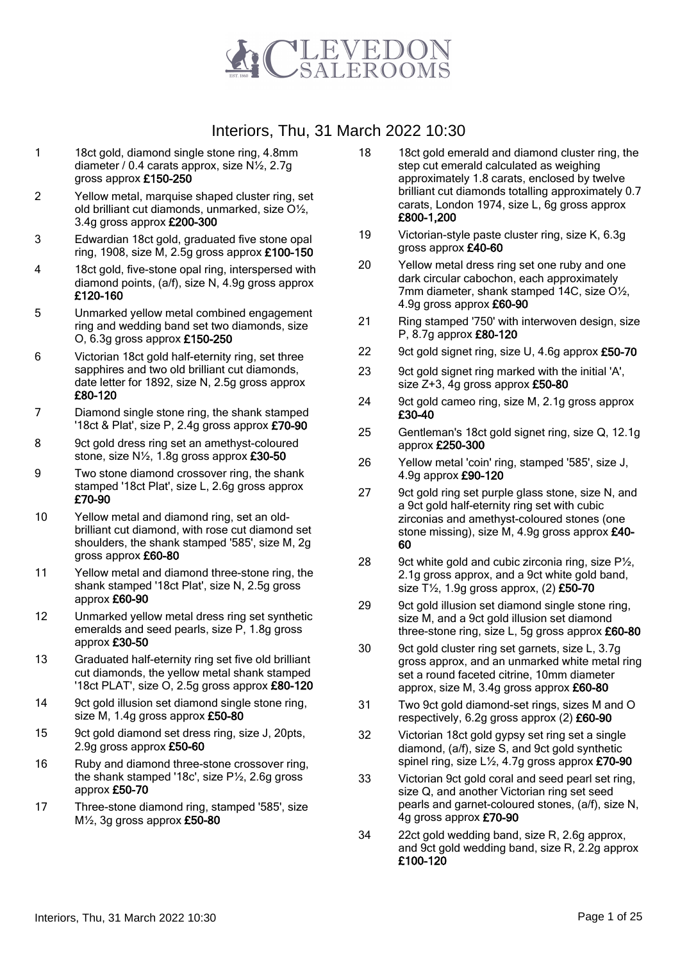

- 1 18ct gold, diamond single stone ring, 4.8mm diameter / 0.4 carats approx, size N½, 2.7g gross approx £150-250
- 2 Yellow metal, marquise shaped cluster ring, set old brilliant cut diamonds, unmarked, size O½, 3.4g gross approx £200-300
- 3 Edwardian 18ct gold, graduated five stone opal ring, 1908, size M, 2.5g gross approx  $£100-150$
- 4 18ct gold, five-stone opal ring, interspersed with diamond points, (a/f), size N, 4.9g gross approx £120-160
- 5 Unmarked yellow metal combined engagement ring and wedding band set two diamonds, size O, 6.3g gross approx £150-250
- 6 Victorian 18ct gold half-eternity ring, set three sapphires and two old brilliant cut diamonds, date letter for 1892, size N, 2.5g gross approx £80-120
- 7 Diamond single stone ring, the shank stamped '18ct & Plat', size P, 2.4g gross approx £70-90
- 8 9ct gold dress ring set an amethyst-coloured stone, size N½, 1.8g gross approx £30-50
- 9 Two stone diamond crossover ring, the shank stamped '18ct Plat', size L, 2.6g gross approx £70-90
- 10 Yellow metal and diamond ring, set an oldbrilliant cut diamond, with rose cut diamond set shoulders, the shank stamped '585', size M, 2g gross approx £60-80
- 11 Yellow metal and diamond three-stone ring, the shank stamped '18ct Plat', size N, 2.5g gross approx £60-90
- 12 Unmarked yellow metal dress ring set synthetic emeralds and seed pearls, size P, 1.8g gross approx £30-50
- 13 Graduated half-eternity ring set five old brilliant cut diamonds, the yellow metal shank stamped '18ct PLAT', size O, 2.5g gross approx £80-120
- 14 9ct gold illusion set diamond single stone ring, size M, 1.4g gross approx £50-80
- 15 9ct gold diamond set dress ring, size J, 20pts, 2.9g gross approx £50-60
- 16 Ruby and diamond three-stone crossover ring, the shank stamped '18c', size P½, 2.6g gross approx £50-70
- 17 Three-stone diamond ring, stamped '585', size  $M\frac{1}{2}$ , 3g gross approx £50-80
- 18 18ct gold emerald and diamond cluster ring, the step cut emerald calculated as weighing approximately 1.8 carats, enclosed by twelve brilliant cut diamonds totalling approximately 0.7 carats, London 1974, size L, 6g gross approx £800-1,200
- 19 Victorian-style paste cluster ring, size K, 6.3g gross approx £40-60
- 20 Yellow metal dress ring set one ruby and one dark circular cabochon, each approximately 7mm diameter, shank stamped 14C, size O½, 4.9g gross approx £60-90
- 21 Ring stamped '750' with interwoven design, size P, 8.7g approx £80-120
- 22 9ct gold signet ring, size U, 4.6g approx £50-70
- 23 9ct gold signet ring marked with the initial 'A', size  $Z+3$ , 4g gross approx  $£50-80$
- 24 9ct gold cameo ring, size M, 2.1g gross approx £30-40
- 25 Gentleman's 18ct gold signet ring, size Q, 12.1g approx £250-300
- 26 Yellow metal 'coin' ring, stamped '585', size J, 4.9g approx £90-120
- 27 9ct gold ring set purple glass stone, size N, and a 9ct gold half-eternity ring set with cubic zirconias and amethyst-coloured stones (one stone missing), size M, 4.9g gross approx £40- 60
- 28 9ct white gold and cubic zirconia ring, size  $P\frac{1}{2}$ , 2.1g gross approx, and a 9ct white gold band, size  $T\frac{1}{2}$ , 1.9g gross approx, (2) £50-70
- 29 9ct gold illusion set diamond single stone ring, size M, and a 9ct gold illusion set diamond three-stone ring, size L, 5g gross approx £60-80
- 30 9ct gold cluster ring set garnets, size L, 3.7g gross approx, and an unmarked white metal ring set a round faceted citrine, 10mm diameter approx, size M, 3.4g gross approx £60-80
- 31 Two 9ct gold diamond-set rings, sizes M and O respectively,  $6.2g$  gross approx  $(2)$  £60-90
- 32 Victorian 18ct gold gypsy set ring set a single diamond, (a/f), size S, and 9ct gold synthetic spinel ring, size  $L\frac{1}{2}$ , 4.7g gross approx £70-90
- 33 Victorian 9ct gold coral and seed pearl set ring, size Q, and another Victorian ring set seed pearls and garnet-coloured stones, (a/f), size N, 4g gross approx £70-90
- 34 22ct gold wedding band, size R, 2.6g approx, and 9ct gold wedding band, size R, 2.2g approx £100-120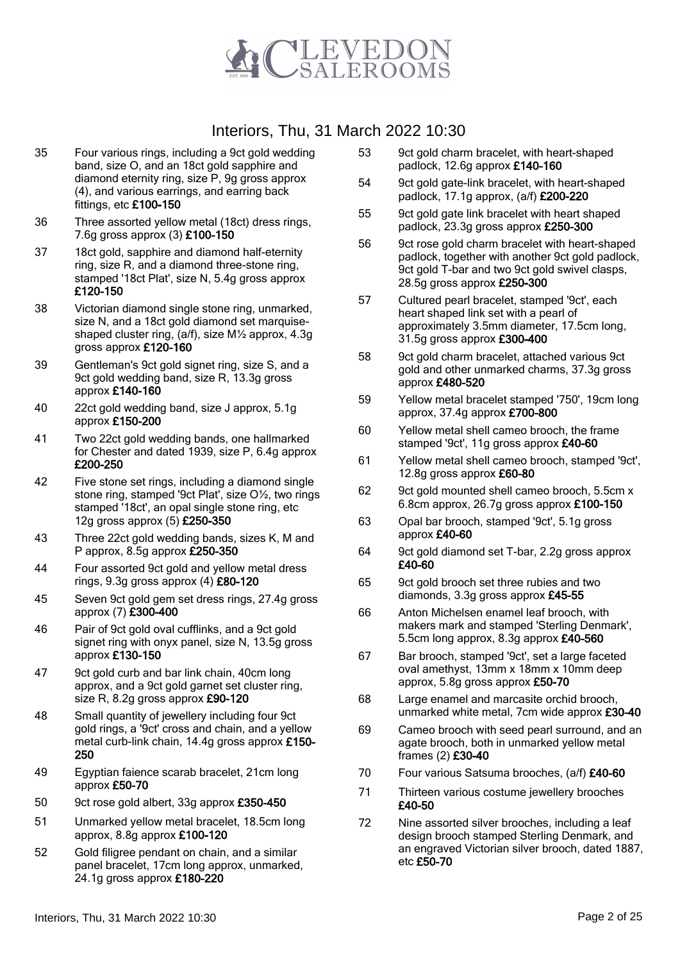

- 35 Four various rings, including a 9ct gold wedding band, size O, and an 18ct gold sapphire and diamond eternity ring, size P, 9g gross approx (4), and various earrings, and earring back fittings, etc £100-150
- 36 Three assorted yellow metal (18ct) dress rings, 7.6g gross approx (3) £100-150
- 37 18ct gold, sapphire and diamond half-eternity ring, size R, and a diamond three-stone ring, stamped '18ct Plat', size N, 5.4g gross approx £120-150
- 38 Victorian diamond single stone ring, unmarked, size N, and a 18ct gold diamond set marquiseshaped cluster ring, (a/f), size M½ approx, 4.3g gross approx £120-160
- 39 Gentleman's 9ct gold signet ring, size S, and a 9ct gold wedding band, size R, 13.3g gross approx £140-160
- 40 22ct gold wedding band, size J approx, 5.1g approx £150-200
- 41 Two 22ct gold wedding bands, one hallmarked for Chester and dated 1939, size P, 6.4g approx £200-250
- 42 Five stone set rings, including a diamond single stone ring, stamped '9ct Plat', size O½, two rings stamped '18ct', an opal single stone ring, etc 12g gross approx (5) £250-350
- 43 Three 22ct gold wedding bands, sizes K, M and P approx, 8.5g approx £250-350
- 44 Four assorted 9ct gold and yellow metal dress rings,  $9.3g$  gross approx (4)  $£80-120$
- 45 Seven 9ct gold gem set dress rings, 27.4g gross approx (7) £300-400
- 46 Pair of 9ct gold oval cufflinks, and a 9ct gold signet ring with onyx panel, size N, 13.5g gross approx £130-150
- 47 9ct gold curb and bar link chain, 40cm long approx, and a 9ct gold garnet set cluster ring, size R, 8.2g gross approx £90-120
- 48 Small quantity of jewellery including four 9ct gold rings, a '9ct' cross and chain, and a yellow metal curb-link chain, 14.4g gross approx £150- 250
- 49 Egyptian faience scarab bracelet, 21cm long approx £50-70
- 50 9ct rose gold albert, 33g approx £350-450
- 51 Unmarked yellow metal bracelet, 18.5cm long approx, 8.8g approx £100-120
- 52 Gold filigree pendant on chain, and a similar panel bracelet, 17cm long approx, unmarked, 24.1g gross approx £180-220
- 53 9ct gold charm bracelet, with heart-shaped padlock, 12.6g approx £140-160
- 54 9ct gold gate-link bracelet, with heart-shaped padlock, 17.1g approx, (a/f) £200-220
- 55 9ct gold gate link bracelet with heart shaped padlock, 23.3g gross approx £250-300
- 56 9ct rose gold charm bracelet with heart-shaped padlock, together with another 9ct gold padlock, 9ct gold T-bar and two 9ct gold swivel clasps, 28.5g gross approx £250-300
- 57 Cultured pearl bracelet, stamped '9ct', each heart shaped link set with a pearl of approximately 3.5mm diameter, 17.5cm long, 31.5g gross approx £300-400
- 58 9ct gold charm bracelet, attached various 9ct gold and other unmarked charms, 37.3g gross approx £480-520
- 59 Yellow metal bracelet stamped '750', 19cm long approx, 37.4g approx £700-800
- 60 Yellow metal shell cameo brooch, the frame stamped '9ct', 11g gross approx £40-60
- 61 Yellow metal shell cameo brooch, stamped '9ct', 12.8g gross approx £60-80
- 62 9ct gold mounted shell cameo brooch, 5.5cm x 6.8cm approx, 26.7g gross approx £100-150
- 63 Opal bar brooch, stamped '9ct', 5.1g gross approx £40-60
- 64 9ct gold diamond set T-bar, 2.2g gross approx £40-60
- 65 9ct gold brooch set three rubies and two diamonds, 3.3g gross approx £45-55
- 66 Anton Michelsen enamel leaf brooch, with makers mark and stamped 'Sterling Denmark', 5.5cm long approx, 8.3g approx £40-560
- 67 Bar brooch, stamped '9ct', set a large faceted oval amethyst, 13mm x 18mm x 10mm deep approx, 5.8g gross approx £50-70
- 68 Large enamel and marcasite orchid brooch, unmarked white metal, 7cm wide approx £30-40
- 69 Cameo brooch with seed pearl surround, and an agate brooch, both in unmarked yellow metal frames (2) £30-40
- 70 Four various Satsuma brooches, (a/f) £40-60
- 71 Thirteen various costume jewellery brooches £40-50
- 72 Nine assorted silver brooches, including a leaf design brooch stamped Sterling Denmark, and an engraved Victorian silver brooch, dated 1887, etc £50-70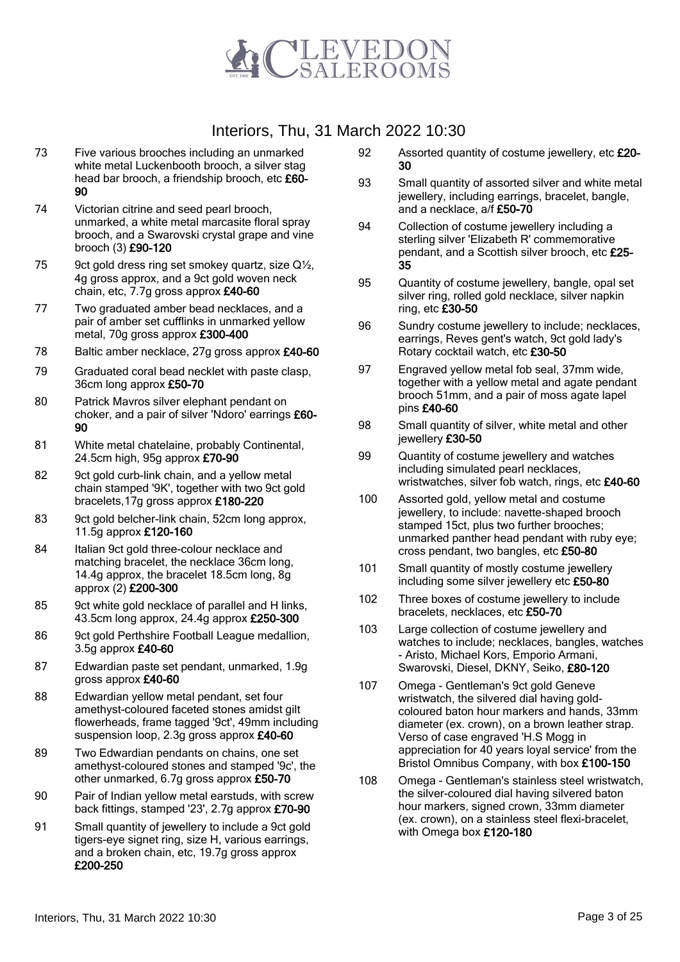

- 73 Five various brooches including an unmarked white metal Luckenbooth brooch, a silver stag head bar brooch, a friendship brooch, etc £60-90
- 74 Victorian citrine and seed pearl brooch, unmarked, a white metal marcasite floral spray brooch, and a Swarovski crystal grape and vine brooch (3) £90-120
- 75 9ct gold dress ring set smokey quartz, size Q<sup>1/2</sup>, 4g gross approx, and a 9ct gold woven neck chain, etc, 7.7g gross approx £40-60
- 77 Two graduated amber bead necklaces, and a pair of amber set cufflinks in unmarked yellow metal, 70g gross approx £300-400
- 78 Baltic amber necklace, 27g gross approx £40-60
- 79 Graduated coral bead necklet with paste clasp, 36cm long approx £50-70
- 80 Patrick Mavros silver elephant pendant on choker, and a pair of silver 'Ndoro' earrings £60- 90
- 81 White metal chatelaine, probably Continental, 24.5cm high, 95g approx £70-90
- 82 9ct gold curb-link chain, and a yellow metal chain stamped '9K', together with two 9ct gold bracelets,17g gross approx £180-220
- 83 9ct gold belcher-link chain, 52cm long approx, 11.5g approx £120-160
- 84 Italian 9ct gold three-colour necklace and matching bracelet, the necklace 36cm long, 14.4g approx, the bracelet 18.5cm long, 8g approx (2) £200-300
- 85 9ct white gold necklace of parallel and H links, 43.5cm long approx, 24.4g approx £250-300
- 86 9ct gold Perthshire Football League medallion, 3.5g approx £40-60
- 87 Edwardian paste set pendant, unmarked, 1.9g gross approx £40-60
- 88 Edwardian yellow metal pendant, set four amethyst-coloured faceted stones amidst gilt flowerheads, frame tagged '9ct', 49mm including suspension loop, 2.3g gross approx £40-60
- 89 Two Edwardian pendants on chains, one set amethyst-coloured stones and stamped '9c', the other unmarked, 6.7g gross approx £50-70
- 90 Pair of Indian yellow metal earstuds, with screw back fittings, stamped '23', 2.7g approx £70-90
- 91 Small quantity of jewellery to include a 9ct gold tigers-eye signet ring, size H, various earrings, and a broken chain, etc, 19.7g gross approx £200-250
- 92 Assorted quantity of costume jewellery, etc £20-30
- 93 Small quantity of assorted silver and white metal jewellery, including earrings, bracelet, bangle, and a necklace, a/f £50-70
- 94 Collection of costume jewellery including a sterling silver 'Elizabeth R' commemorative pendant, and a Scottish silver brooch, etc £25-35
- 95 Quantity of costume jewellery, bangle, opal set silver ring, rolled gold necklace, silver napkin ring, etc £30-50
- 96 Sundry costume jewellery to include; necklaces, earrings, Reves gent's watch, 9ct gold lady's Rotary cocktail watch, etc £30-50
- 97 Engraved yellow metal fob seal, 37mm wide, together with a yellow metal and agate pendant brooch 51mm, and a pair of moss agate lapel pins £40-60
- 98 Small quantity of silver, white metal and other jewellery £30-50
- 99 Quantity of costume jewellery and watches including simulated pearl necklaces, wristwatches, silver fob watch, rings, etc £40-60
- 100 Assorted gold, yellow metal and costume jewellery, to include: navette-shaped brooch stamped 15ct, plus two further brooches; unmarked panther head pendant with ruby eye; cross pendant, two bangles, etc £50-80
- 101 Small quantity of mostly costume jewellery including some silver jewellery etc £50-80
- 102 Three boxes of costume jewellery to include bracelets, necklaces, etc £50-70
- 103 Large collection of costume jewellery and watches to include; necklaces, bangles, watches - Aristo, Michael Kors, Emporio Armani, Swarovski, Diesel, DKNY, Seiko, £80-120
- 107 Omega Gentleman's 9ct gold Geneve wristwatch, the silvered dial having goldcoloured baton hour markers and hands, 33mm diameter (ex. crown), on a brown leather strap. Verso of case engraved 'H.S Mogg in appreciation for 40 years loyal service' from the Bristol Omnibus Company, with box £100-150
- 108 Omega Gentleman's stainless steel wristwatch, the silver-coloured dial having silvered baton hour markers, signed crown, 33mm diameter (ex. crown), on a stainless steel flexi-bracelet, with Omega box £120-180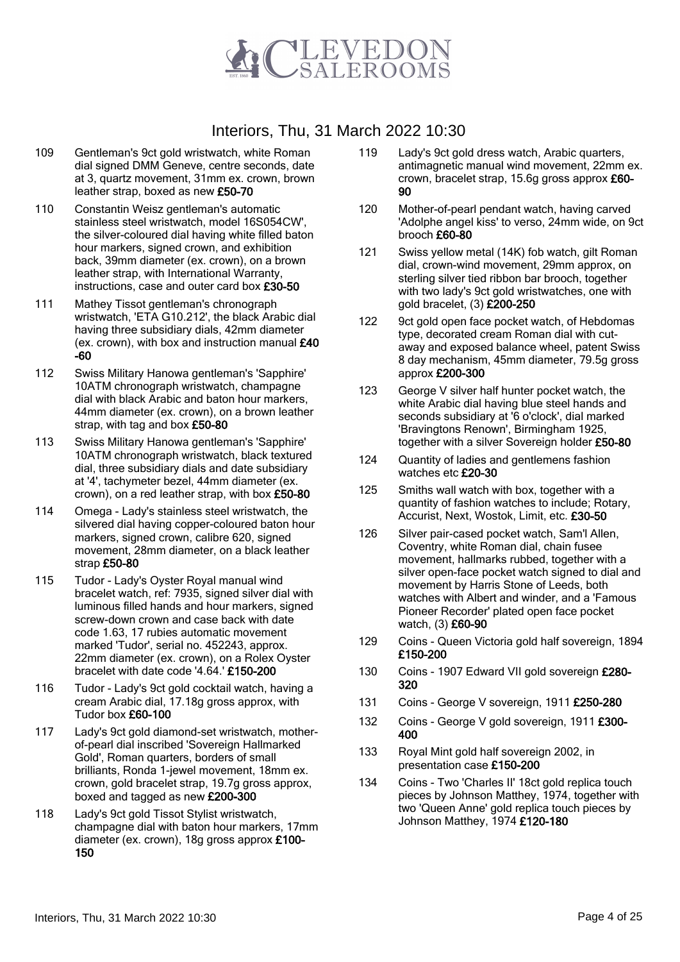

- 109 Gentleman's 9ct gold wristwatch, white Roman dial signed DMM Geneve, centre seconds, date at 3, quartz movement, 31mm ex. crown, brown leather strap, boxed as new £50-70
- 110 Constantin Weisz gentleman's automatic stainless steel wristwatch, model 16S054CW', the silver-coloured dial having white filled baton hour markers, signed crown, and exhibition back, 39mm diameter (ex. crown), on a brown leather strap, with International Warranty, instructions, case and outer card box £30-50
- 111 Mathey Tissot gentleman's chronograph wristwatch, 'ETA G10.212', the black Arabic dial having three subsidiary dials, 42mm diameter (ex. crown), with box and instruction manual £40 -60
- 112 Swiss Military Hanowa gentleman's 'Sapphire' 10ATM chronograph wristwatch, champagne dial with black Arabic and baton hour markers, 44mm diameter (ex. crown), on a brown leather strap, with tag and box £50-80
- 113 Swiss Military Hanowa gentleman's 'Sapphire' 10ATM chronograph wristwatch, black textured dial, three subsidiary dials and date subsidiary at '4', tachymeter bezel, 44mm diameter (ex. crown), on a red leather strap, with box £50-80
- 114 Omega Lady's stainless steel wristwatch, the silvered dial having copper-coloured baton hour markers, signed crown, calibre 620, signed movement, 28mm diameter, on a black leather strap £50-80
- 115 Tudor Lady's Oyster Royal manual wind bracelet watch, ref: 7935, signed silver dial with luminous filled hands and hour markers, signed screw-down crown and case back with date code 1.63, 17 rubies automatic movement marked 'Tudor', serial no. 452243, approx. 22mm diameter (ex. crown), on a Rolex Oyster bracelet with date code '4.64.' £150-200
- 116 Tudor Lady's 9ct gold cocktail watch, having a cream Arabic dial, 17.18g gross approx, with Tudor box £60-100
- 117 Lady's 9ct gold diamond-set wristwatch, motherof-pearl dial inscribed 'Sovereign Hallmarked Gold', Roman quarters, borders of small brilliants, Ronda 1-jewel movement, 18mm ex. crown, gold bracelet strap, 19.7g gross approx, boxed and tagged as new £200-300
- 118 Lady's 9ct gold Tissot Stylist wristwatch, champagne dial with baton hour markers, 17mm diameter (ex. crown), 18g gross approx £100- 150
- 119 Lady's 9ct gold dress watch, Arabic quarters, antimagnetic manual wind movement, 22mm ex. crown, bracelet strap, 15.6g gross approx £60- 90
- 120 Mother-of-pearl pendant watch, having carved 'Adolphe angel kiss' to verso, 24mm wide, on 9ct brooch £60-80
- 121 Swiss yellow metal (14K) fob watch, gilt Roman dial, crown-wind movement, 29mm approx, on sterling silver tied ribbon bar brooch, together with two lady's 9ct gold wristwatches, one with gold bracelet, (3) £200-250
- 122 9ct gold open face pocket watch, of Hebdomas type, decorated cream Roman dial with cutaway and exposed balance wheel, patent Swiss 8 day mechanism, 45mm diameter, 79.5g gross approx £200-300
- 123 George V silver half hunter pocket watch, the white Arabic dial having blue steel hands and seconds subsidiary at '6 o'clock', dial marked 'Bravingtons Renown', Birmingham 1925, together with a silver Sovereign holder £50-80
- 124 Quantity of ladies and gentlemens fashion watches etc £20-30
- 125 Smiths wall watch with box, together with a quantity of fashion watches to include; Rotary, Accurist, Next, Wostok, Limit, etc. £30-50
- 126 Silver pair-cased pocket watch, Sam'l Allen, Coventry, white Roman dial, chain fusee movement, hallmarks rubbed, together with a silver open-face pocket watch signed to dial and movement by Harris Stone of Leeds, both watches with Albert and winder, and a 'Famous Pioneer Recorder' plated open face pocket watch, (3) £60-90
- 129 Coins Queen Victoria gold half sovereign, 1894 £150-200
- 130 Coins 1907 Edward VII gold sovereign £280-320
- 131 Coins George V sovereign, 1911 £250-280
- 132 Coins George V gold sovereign, 1911 £300-400
- 133 Royal Mint gold half sovereign 2002, in presentation case £150-200
- 134 Coins Two 'Charles II' 18ct gold replica touch pieces by Johnson Matthey, 1974, together with two 'Queen Anne' gold replica touch pieces by Johnson Matthey, 1974 £120-180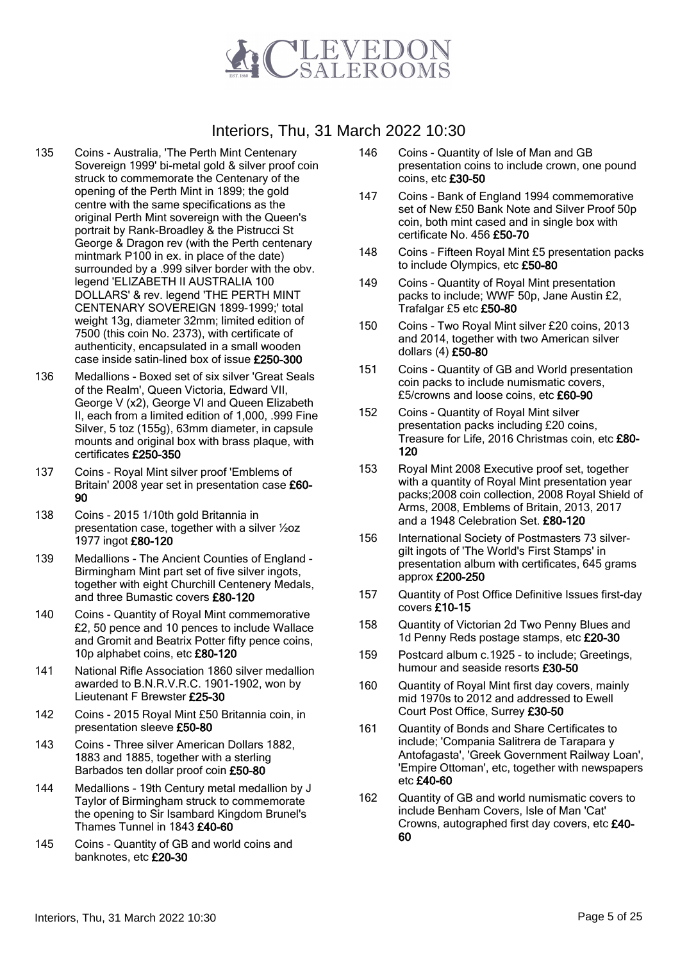

- 135 Coins Australia, 'The Perth Mint Centenary Sovereign 1999' bi-metal gold & silver proof coin struck to commemorate the Centenary of the opening of the Perth Mint in 1899; the gold centre with the same specifications as the original Perth Mint sovereign with the Queen's portrait by Rank-Broadley & the Pistrucci St George & Dragon rev (with the Perth centenary mintmark P100 in ex. in place of the date) surrounded by a .999 silver border with the obv. legend 'ELIZABETH II AUSTRALIA 100 DOLLARS' & rev. legend 'THE PERTH MINT CENTENARY SOVEREIGN 1899-1999;' total weight 13g, diameter 32mm; limited edition of 7500 (this coin No. 2373), with certificate of authenticity, encapsulated in a small wooden case inside satin-lined box of issue £250-300
- 136 Medallions Boxed set of six silver 'Great Seals of the Realm', Queen Victoria, Edward VII, George V (x2), George VI and Queen Elizabeth II, each from a limited edition of 1,000, .999 Fine Silver, 5 toz (155g), 63mm diameter, in capsule mounts and original box with brass plaque, with certificates £250-350
- 137 Coins Royal Mint silver proof 'Emblems of Britain' 2008 year set in presentation case £60- 90
- 138 Coins 2015 1/10th gold Britannia in presentation case, together with a silver ½oz 1977 ingot £80-120
- 139 Medallions The Ancient Counties of England Birmingham Mint part set of five silver ingots, together with eight Churchill Centenery Medals, and three Bumastic covers £80-120
- 140 Coins Quantity of Royal Mint commemorative £2, 50 pence and 10 pences to include Wallace and Gromit and Beatrix Potter fifty pence coins, 10p alphabet coins, etc £80-120
- 141 National Rifle Association 1860 silver medallion awarded to B.N.R.V.R.C. 1901-1902, won by Lieutenant F Brewster £25-30
- 142 Coins 2015 Royal Mint £50 Britannia coin, in presentation sleeve £50-80
- 143 Coins Three silver American Dollars 1882, 1883 and 1885, together with a sterling Barbados ten dollar proof coin £50-80
- 144 Medallions 19th Century metal medallion by J Taylor of Birmingham struck to commemorate the opening to Sir Isambard Kingdom Brunel's Thames Tunnel in 1843 £40-60
- 145 Coins Quantity of GB and world coins and banknotes, etc £20-30
- 146 Coins Quantity of Isle of Man and GB presentation coins to include crown, one pound coins, etc £30-50
- 147 Coins Bank of England 1994 commemorative set of New £50 Bank Note and Silver Proof 50p coin, both mint cased and in single box with certificate No. 456 £50-70
- 148 Coins Fifteen Royal Mint £5 presentation packs to include Olympics, etc £50-80
- 149 Coins Quantity of Royal Mint presentation packs to include; WWF 50p, Jane Austin £2, Trafalgar £5 etc £50-80
- 150 Coins Two Royal Mint silver £20 coins, 2013 and 2014, together with two American silver dollars (4) £50-80
- 151 Coins Quantity of GB and World presentation coin packs to include numismatic covers, £5/crowns and loose coins, etc £60-90
- 152 Coins Quantity of Royal Mint silver presentation packs including £20 coins, Treasure for Life, 2016 Christmas coin, etc £80-120
- 153 Royal Mint 2008 Executive proof set, together with a quantity of Royal Mint presentation year packs;2008 coin collection, 2008 Royal Shield of Arms, 2008, Emblems of Britain, 2013, 2017 and a 1948 Celebration Set. £80-120
- 156 International Society of Postmasters 73 silvergilt ingots of 'The World's First Stamps' in presentation album with certificates, 645 grams approx £200-250
- 157 Quantity of Post Office Definitive Issues first-day covers £10-15
- 158 Quantity of Victorian 2d Two Penny Blues and 1d Penny Reds postage stamps, etc £20-30
- 159 Postcard album c.1925 to include; Greetings, humour and seaside resorts £30-50
- 160 Quantity of Royal Mint first day covers, mainly mid 1970s to 2012 and addressed to Ewell Court Post Office, Surrey £30-50
- 161 Quantity of Bonds and Share Certificates to include; 'Compania Salitrera de Tarapara y Antofagasta', 'Greek Government Railway Loan', 'Empire Ottoman', etc, together with newspapers etc £40-60
- 162 Quantity of GB and world numismatic covers to include Benham Covers, Isle of Man 'Cat' Crowns, autographed first day covers, etc £40- 60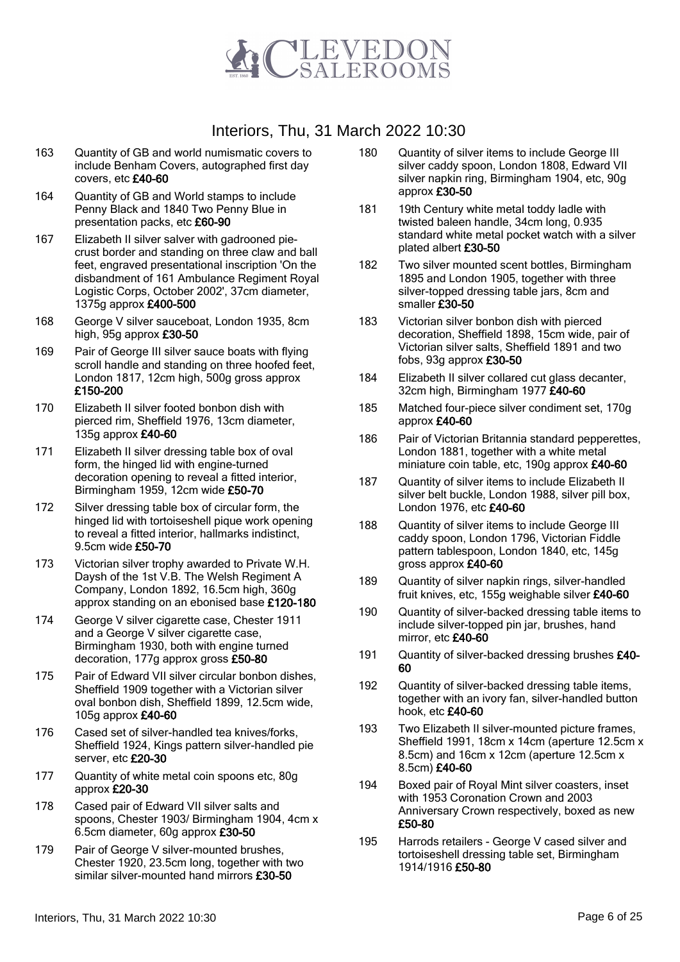

- 163 Quantity of GB and world numismatic covers to include Benham Covers, autographed first day covers, etc £40-60
- 164 Quantity of GB and World stamps to include Penny Black and 1840 Two Penny Blue in presentation packs, etc £60-90
- 167 Elizabeth II silver salver with gadrooned piecrust border and standing on three claw and ball feet, engraved presentational inscription 'On the disbandment of 161 Ambulance Regiment Royal Logistic Corps, October 2002', 37cm diameter, 1375g approx £400-500
- 168 George V silver sauceboat, London 1935, 8cm high, 95g approx £30-50
- 169 Pair of George III silver sauce boats with flying scroll handle and standing on three hoofed feet, London 1817, 12cm high, 500g gross approx £150-200
- 170 Elizabeth II silver footed bonbon dish with pierced rim, Sheffield 1976, 13cm diameter, 135g approx £40-60
- 171 Elizabeth II silver dressing table box of oval form, the hinged lid with engine-turned decoration opening to reveal a fitted interior, Birmingham 1959, 12cm wide £50-70
- 172 Silver dressing table box of circular form, the hinged lid with tortoiseshell pique work opening to reveal a fitted interior, hallmarks indistinct, 9.5cm wide £50-70
- 173 Victorian silver trophy awarded to Private W.H. Daysh of the 1st V.B. The Welsh Regiment A Company, London 1892, 16.5cm high, 360g approx standing on an ebonised base £120-180
- 174 George V silver cigarette case, Chester 1911 and a George V silver cigarette case, Birmingham 1930, both with engine turned decoration, 177g approx gross £50-80
- 175 Pair of Edward VII silver circular bonbon dishes, Sheffield 1909 together with a Victorian silver oval bonbon dish, Sheffield 1899, 12.5cm wide, 105g approx £40-60
- 176 Cased set of silver-handled tea knives/forks, Sheffield 1924, Kings pattern silver-handled pie server, etc £20-30
- 177 Quantity of white metal coin spoons etc, 80g approx £20-30
- 178 Cased pair of Edward VII silver salts and spoons, Chester 1903/ Birmingham 1904, 4cm x 6.5cm diameter, 60g approx £30-50
- 179 Pair of George V silver-mounted brushes, Chester 1920, 23.5cm long, together with two similar silver-mounted hand mirrors £30-50
- 180 Quantity of silver items to include George III silver caddy spoon, London 1808, Edward VII silver napkin ring, Birmingham 1904, etc, 90g approx £30-50
- 181 19th Century white metal toddy ladle with twisted baleen handle, 34cm long, 0.935 standard white metal pocket watch with a silver plated albert £30-50
- 182 Two silver mounted scent bottles, Birmingham 1895 and London 1905, together with three silver-topped dressing table jars, 8cm and smaller £30-50
- 183 Victorian silver bonbon dish with pierced decoration, Sheffield 1898, 15cm wide, pair of Victorian silver salts, Sheffield 1891 and two fobs, 93g approx £30-50
- 184 Elizabeth II silver collared cut glass decanter, 32cm high, Birmingham 1977 £40-60
- 185 Matched four-piece silver condiment set, 170g approx £40-60
- 186 Pair of Victorian Britannia standard pepperettes, London 1881, together with a white metal miniature coin table, etc, 190g approx £40-60
- 187 Quantity of silver items to include Elizabeth II silver belt buckle, London 1988, silver pill box, London 1976, etc £40-60
- 188 Quantity of silver items to include George III caddy spoon, London 1796, Victorian Fiddle pattern tablespoon, London 1840, etc, 145g gross approx £40-60
- 189 Quantity of silver napkin rings, silver-handled fruit knives, etc, 155g weighable silver £40-60
- 190 Quantity of silver-backed dressing table items to include silver-topped pin jar, brushes, hand mirror, etc £40-60
- 191 Quantity of silver-backed dressing brushes £40-60
- 192 Quantity of silver-backed dressing table items, together with an ivory fan, silver-handled button hook, etc £40-60
- 193 Two Elizabeth II silver-mounted picture frames, Sheffield 1991, 18cm x 14cm (aperture 12.5cm x 8.5cm) and 16cm x 12cm (aperture 12.5cm x 8.5cm) £40-60
- 194 Boxed pair of Royal Mint silver coasters, inset with 1953 Coronation Crown and 2003 Anniversary Crown respectively, boxed as new £50-80
- 195 Harrods retailers George V cased silver and tortoiseshell dressing table set, Birmingham 1914/1916 £50-80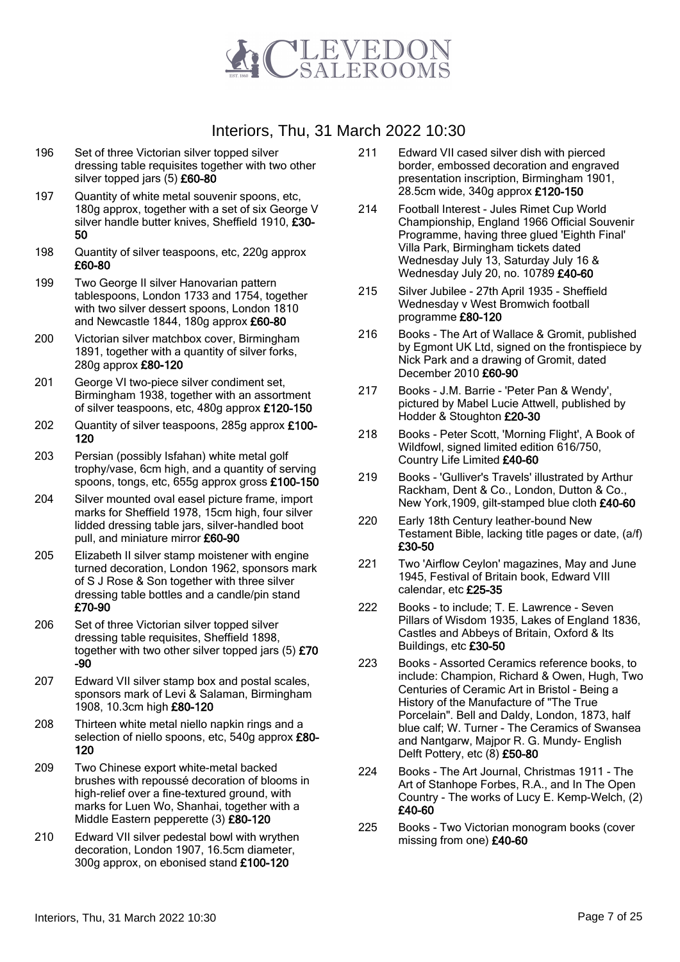

- 196 Set of three Victorian silver topped silver dressing table requisites together with two other silver topped jars (5) £60-80
- 197 Quantity of white metal souvenir spoons, etc, 180g approx, together with a set of six George V silver handle butter knives, Sheffield 1910, £30-50
- 198 Quantity of silver teaspoons, etc, 220g approx £60-80
- 199 Two George II silver Hanovarian pattern tablespoons, London 1733 and 1754, together with two silver dessert spoons, London 1810 and Newcastle 1844, 180g approx £60-80
- 200 Victorian silver matchbox cover, Birmingham 1891, together with a quantity of silver forks, 280g approx £80-120
- 201 George VI two-piece silver condiment set, Birmingham 1938, together with an assortment of silver teaspoons, etc, 480g approx £120-150
- 202 Quantity of silver teaspoons, 285g approx £100- 120
- 203 Persian (possibly Isfahan) white metal golf trophy/vase, 6cm high, and a quantity of serving spoons, tongs, etc, 655g approx gross £100-150
- 204 Silver mounted oval easel picture frame, import marks for Sheffield 1978, 15cm high, four silver lidded dressing table jars, silver-handled boot pull, and miniature mirror £60-90
- 205 Elizabeth II silver stamp moistener with engine turned decoration, London 1962, sponsors mark of S J Rose & Son together with three silver dressing table bottles and a candle/pin stand £70-90
- 206 Set of three Victorian silver topped silver dressing table requisites, Sheffield 1898, together with two other silver topped jars (5) £70 -90
- 207 Edward VII silver stamp box and postal scales, sponsors mark of Levi & Salaman, Birmingham 1908, 10.3cm high £80-120
- 208 Thirteen white metal niello napkin rings and a selection of niello spoons, etc, 540g approx £80-120
- 209 Two Chinese export white-metal backed brushes with repoussé decoration of blooms in high-relief over a fine-textured ground, with marks for Luen Wo, Shanhai, together with a Middle Eastern pepperette (3) £80-120
- 210 Edward VII silver pedestal bowl with wrythen decoration, London 1907, 16.5cm diameter, 300g approx, on ebonised stand £100-120
- 211 Edward VII cased silver dish with pierced border, embossed decoration and engraved presentation inscription, Birmingham 1901, 28.5cm wide, 340g approx £120-150
- 214 Football Interest Jules Rimet Cup World Championship, England 1966 Official Souvenir Programme, having three glued 'Eighth Final' Villa Park, Birmingham tickets dated Wednesday July 13, Saturday July 16 & Wednesday July 20, no. 10789 £40-60
- 215 Silver Jubilee 27th April 1935 Sheffield Wednesday v West Bromwich football programme £80-120
- 216 Books The Art of Wallace & Gromit, published by Egmont UK Ltd, signed on the frontispiece by Nick Park and a drawing of Gromit, dated December 2010 £60-90
- 217 Books J.M. Barrie 'Peter Pan & Wendy', pictured by Mabel Lucie Attwell, published by Hodder & Stoughton £20-30
- 218 Books Peter Scott, 'Morning Flight', A Book of Wildfowl, signed limited edition 616/750, Country Life Limited £40-60
- 219 Books 'Gulliver's Travels' illustrated by Arthur Rackham, Dent & Co., London, Dutton & Co., New York,1909, gilt-stamped blue cloth £40-60
- 220 Early 18th Century leather-bound New Testament Bible, lacking title pages or date, (a/f) £30-50
- 221 Two 'Airflow Ceylon' magazines, May and June 1945, Festival of Britain book, Edward VIII calendar, etc £25-35
- 222 Books to include; T. E. Lawrence Seven Pillars of Wisdom 1935, Lakes of England 1836, Castles and Abbeys of Britain, Oxford & Its Buildings, etc £30-50
- 223 Books Assorted Ceramics reference books, to include: Champion, Richard & Owen, Hugh, Two Centuries of Ceramic Art in Bristol - Being a History of the Manufacture of "The True Porcelain". Bell and Daldy, London, 1873, half blue calf; W. Turner - The Ceramics of Swansea and Nantgarw, Majpor R. G. Mundy- English Delft Pottery, etc (8) £50-80
- 224 Books The Art Journal, Christmas 1911 The Art of Stanhope Forbes, R.A., and In The Open Country - The works of Lucy E. Kemp-Welch, (2) £40-60
- 225 Books Two Victorian monogram books (cover missing from one) £40-60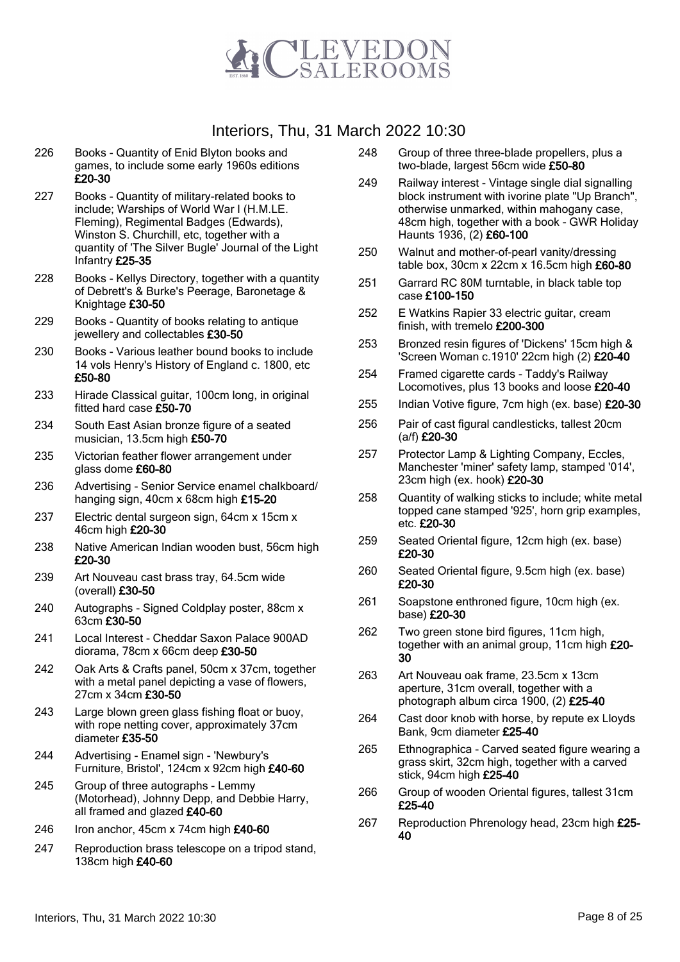

- 226 Books Quantity of Enid Blyton books and games, to include some early 1960s editions £20-30
- 227 Books Quantity of military-related books to include; Warships of World War I (H.M.LE. Fleming), Regimental Badges (Edwards), Winston S. Churchill, etc, together with a quantity of 'The Silver Bugle' Journal of the Light Infantry £25-35
- 228 Books Kellys Directory, together with a quantity of Debrett's & Burke's Peerage, Baronetage & Knightage £30-50
- 229 Books Quantity of books relating to antique jewellery and collectables £30-50
- 230 Books Various leather bound books to include 14 vols Henry's History of England c. 1800, etc £50-80
- 233 Hirade Classical guitar, 100cm long, in original fitted hard case £50-70
- 234 South East Asian bronze figure of a seated musician, 13.5cm high £50-70
- 235 Victorian feather flower arrangement under glass dome £60-80
- 236 Advertising Senior Service enamel chalkboard/ hanging sign, 40cm x 68cm high £15-20
- 237 Electric dental surgeon sign, 64cm x 15cm x 46cm high £20-30
- 238 Native American Indian wooden bust, 56cm high £20-30
- 239 Art Nouveau cast brass tray, 64.5cm wide (overall) £30-50
- 240 Autographs Signed Coldplay poster, 88cm x 63cm £30-50
- 241 Local Interest Cheddar Saxon Palace 900AD diorama, 78cm x 66cm deep £30-50
- 242 Oak Arts & Crafts panel, 50cm x 37cm, together with a metal panel depicting a vase of flowers, 27cm x 34cm £30-50
- 243 Large blown green glass fishing float or buoy, with rope netting cover, approximately 37cm diameter £35-50
- 244 Advertising Enamel sign 'Newbury's Furniture, Bristol', 124cm x 92cm high £40-60
- 245 Group of three autographs Lemmy (Motorhead), Johnny Depp, and Debbie Harry, all framed and glazed £40-60
- 246 Iron anchor, 45cm x 74cm high £40-60
- 247 Reproduction brass telescope on a tripod stand, 138cm high £40-60
- 248 Group of three three-blade propellers, plus a two-blade, largest 56cm wide £50-80
- 249 Railway interest Vintage single dial signalling block instrument with ivorine plate "Up Branch", otherwise unmarked, within mahogany case, 48cm high, together with a book - GWR Holiday Haunts 1936, (2) £60-100
- 250 Walnut and mother-of-pearl vanity/dressing table box, 30cm x 22cm x 16.5cm high £60-80
- 251 Garrard RC 80M turntable, in black table top case £100-150
- 252 E Watkins Rapier 33 electric guitar, cream finish, with tremelo £200-300
- 253 Bronzed resin figures of 'Dickens' 15cm high & 'Screen Woman c.1910' 22cm high (2) £20-40
- 254 Framed cigarette cards Taddy's Railway Locomotives, plus 13 books and loose £20-40
- 255 Indian Votive figure, 7cm high (ex. base) £20-30
- 256 Pair of cast figural candlesticks, tallest 20cm (a/f) £20-30
- 257 Protector Lamp & Lighting Company, Eccles, Manchester 'miner' safety lamp, stamped '014', 23cm high (ex. hook) £20-30
- 258 Quantity of walking sticks to include; white metal topped cane stamped '925', horn grip examples, etc. £20-30
- 259 Seated Oriental figure, 12cm high (ex. base) £20-30
- 260 Seated Oriental figure, 9.5cm high (ex. base) £20-30
- 261 Soapstone enthroned figure, 10cm high (ex. base) £20-30
- 262 Two green stone bird figures, 11cm high, together with an animal group, 11cm high £20-30
- 263 Art Nouveau oak frame, 23.5cm x 13cm aperture, 31cm overall, together with a photograph album circa 1900, (2) £25-40
- 264 Cast door knob with horse, by repute ex Lloyds Bank, 9cm diameter £25-40
- 265 Ethnographica Carved seated figure wearing a grass skirt, 32cm high, together with a carved stick, 94cm high £25-40
- 266 Group of wooden Oriental figures, tallest 31cm £25-40
- 267 Reproduction Phrenology head, 23cm high £25-40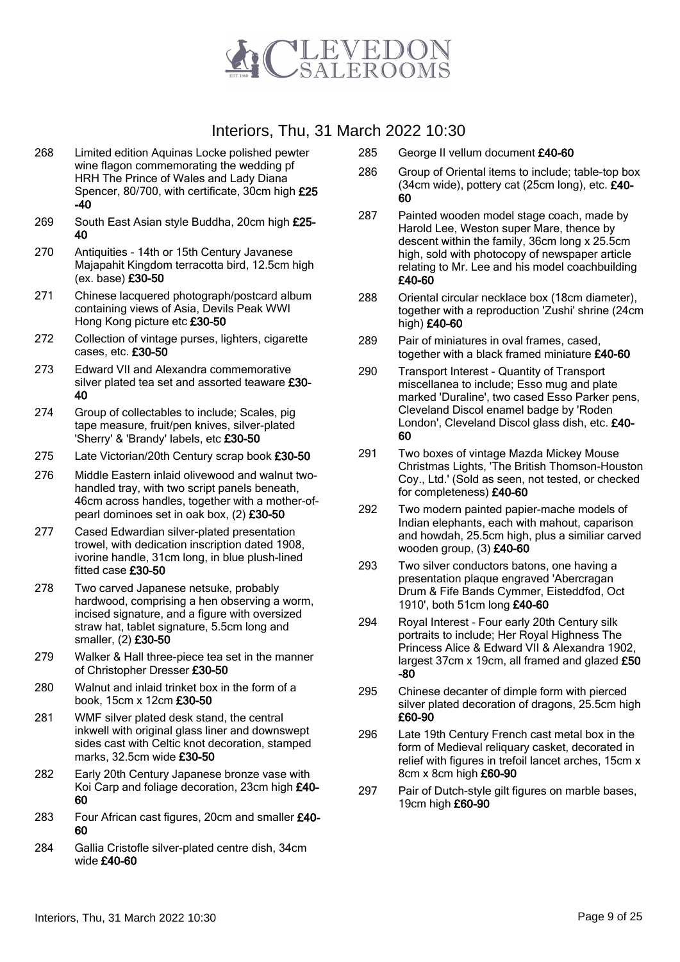

- 268 Limited edition Aquinas Locke polished pewter wine flagon commemorating the wedding pf HRH The Prince of Wales and Lady Diana Spencer, 80/700, with certificate, 30cm high £25 -40
- 269 South East Asian style Buddha, 20cm high £25-40
- 270 Antiquities 14th or 15th Century Javanese Majapahit Kingdom terracotta bird, 12.5cm high (ex. base) £30-50
- 271 Chinese lacquered photograph/postcard album containing views of Asia, Devils Peak WWI Hong Kong picture etc £30-50
- 272 Collection of vintage purses, lighters, cigarette cases, etc. £30-50
- 273 Edward VII and Alexandra commemorative silver plated tea set and assorted teaware £30-40
- 274 Group of collectables to include; Scales, pig tape measure, fruit/pen knives, silver-plated 'Sherry' & 'Brandy' labels, etc £30-50
- 275 Late Victorian/20th Century scrap book £30-50
- 276 Middle Eastern inlaid olivewood and walnut twohandled tray, with two script panels beneath, 46cm across handles, together with a mother-ofpearl dominoes set in oak box, (2) £30-50
- 277 Cased Edwardian silver-plated presentation trowel, with dedication inscription dated 1908, ivorine handle, 31cm long, in blue plush-lined fitted case £30-50
- 278 Two carved Japanese netsuke, probably hardwood, comprising a hen observing a worm, incised signature, and a figure with oversized straw hat, tablet signature, 5.5cm long and smaller, (2) £30-50
- 279 Walker & Hall three-piece tea set in the manner of Christopher Dresser £30-50
- 280 Walnut and inlaid trinket box in the form of a book, 15cm x 12cm £30-50
- 281 WMF silver plated desk stand, the central inkwell with original glass liner and downswept sides cast with Celtic knot decoration, stamped marks, 32.5cm wide £30-50
- 282 Early 20th Century Japanese bronze vase with Koi Carp and foliage decoration, 23cm high £40- 60
- 283 Four African cast figures, 20cm and smaller £40-60
- 284 Gallia Cristofle silver-plated centre dish, 34cm wide £40-60
- 285 George II vellum document £40-60
- 286 Group of Oriental items to include; table-top box  $(34cm$  wide), pottery cat  $(25cm)$  long), etc.  $£40-$ 60
- 287 Painted wooden model stage coach, made by Harold Lee, Weston super Mare, thence by descent within the family, 36cm long x 25.5cm high, sold with photocopy of newspaper article relating to Mr. Lee and his model coachbuilding £40-60
- 288 Oriental circular necklace box (18cm diameter), together with a reproduction 'Zushi' shrine (24cm high) £40-60
- 289 Pair of miniatures in oval frames, cased, together with a black framed miniature £40-60
- 290 Transport Interest Quantity of Transport miscellanea to include; Esso mug and plate marked 'Duraline', two cased Esso Parker pens, Cleveland Discol enamel badge by 'Roden London', Cleveland Discol glass dish, etc. £40- 60
- 291 Two boxes of vintage Mazda Mickey Mouse Christmas Lights, 'The British Thomson-Houston Coy., Ltd.' (Sold as seen, not tested, or checked for completeness) £40-60
- 292 Two modern painted papier-mache models of Indian elephants, each with mahout, caparison and howdah, 25.5cm high, plus a similiar carved wooden group, (3) £40-60
- 293 Two silver conductors batons, one having a presentation plaque engraved 'Abercragan Drum & Fife Bands Cymmer, Eisteddfod, Oct 1910', both 51cm long £40-60
- 294 Royal Interest Four early 20th Century silk portraits to include; Her Royal Highness The Princess Alice & Edward VII & Alexandra 1902, largest 37cm x 19cm, all framed and glazed £50 -80
- 295 Chinese decanter of dimple form with pierced silver plated decoration of dragons, 25.5cm high £60-90
- 296 Late 19th Century French cast metal box in the form of Medieval reliquary casket, decorated in relief with figures in trefoil lancet arches, 15cm x 8cm x 8cm high £60-90
- 297 Pair of Dutch-style gilt figures on marble bases, 19cm high £60-90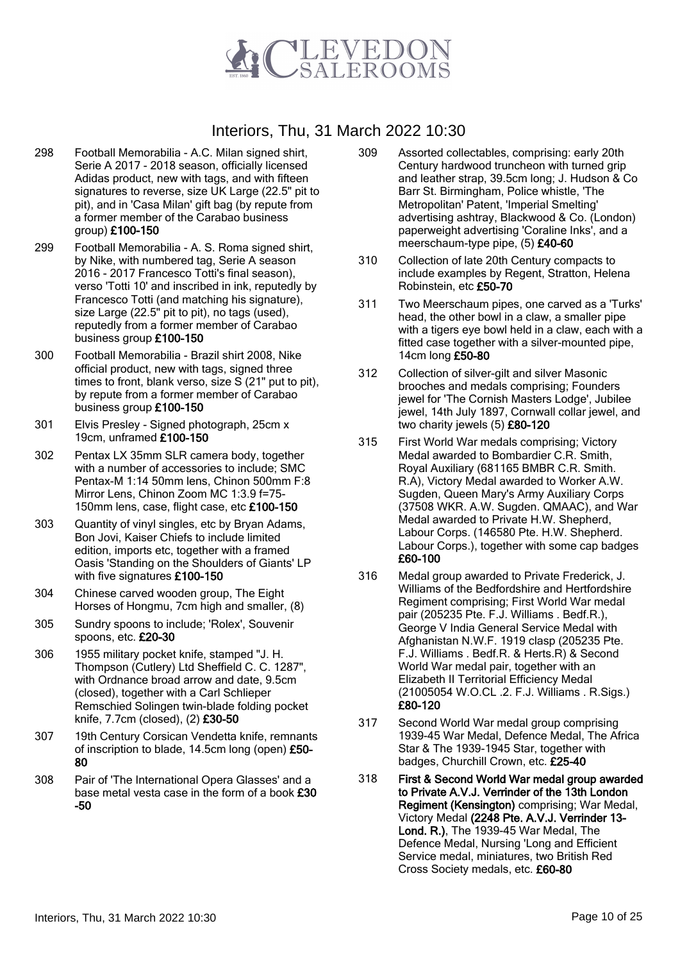

- 298 Football Memorabilia A.C. Milan signed shirt, Serie A 2017 - 2018 season, officially licensed Adidas product, new with tags, and with fifteen signatures to reverse, size UK Large (22.5" pit to pit), and in 'Casa Milan' gift bag (by repute from a former member of the Carabao business group) £100-150
- 299 Football Memorabilia A. S. Roma signed shirt, by Nike, with numbered tag, Serie A season 2016 - 2017 Francesco Totti's final season), verso 'Totti 10' and inscribed in ink, reputedly by Francesco Totti (and matching his signature), size Large (22.5" pit to pit), no tags (used), reputedly from a former member of Carabao business group £100-150
- 300 Football Memorabilia Brazil shirt 2008, Nike official product, new with tags, signed three times to front, blank verso, size S (21" put to pit), by repute from a former member of Carabao business group £100-150
- 301 Elvis Presley Signed photograph, 25cm x 19cm, unframed £100-150
- 302 Pentax LX 35mm SLR camera body, together with a number of accessories to include; SMC Pentax-M 1:14 50mm lens, Chinon 500mm F:8 Mirror Lens, Chinon Zoom MC 1:3.9 f=75- 150mm lens, case, flight case, etc £100-150
- 303 Quantity of vinyl singles, etc by Bryan Adams, Bon Jovi, Kaiser Chiefs to include limited edition, imports etc, together with a framed Oasis 'Standing on the Shoulders of Giants' LP with five signatures £100-150
- 304 Chinese carved wooden group, The Eight Horses of Hongmu, 7cm high and smaller, (8)
- 305 Sundry spoons to include; 'Rolex', Souvenir spoons, etc. £20-30
- 306 1955 military pocket knife, stamped "J. H. Thompson (Cutlery) Ltd Sheffield C. C. 1287", with Ordnance broad arrow and date, 9.5cm (closed), together with a Carl Schlieper Remschied Solingen twin-blade folding pocket knife, 7.7cm (closed), (2) £30-50
- 307 19th Century Corsican Vendetta knife, remnants of inscription to blade, 14.5cm long (open) £50- 80
- 308 Pair of 'The International Opera Glasses' and a base metal vesta case in the form of a book £30 -50
- 309 Assorted collectables, comprising: early 20th Century hardwood truncheon with turned grip and leather strap, 39.5cm long; J. Hudson & Co Barr St. Birmingham, Police whistle, 'The Metropolitan' Patent, 'Imperial Smelting' advertising ashtray, Blackwood & Co. (London) paperweight advertising 'Coraline Inks', and a meerschaum-type pipe, (5) £40-60
- 310 Collection of late 20th Century compacts to include examples by Regent, Stratton, Helena Robinstein, etc £50-70
- 311 Two Meerschaum pipes, one carved as a 'Turks' head, the other bowl in a claw, a smaller pipe with a tigers eye bowl held in a claw, each with a fitted case together with a silver-mounted pipe, 14cm long £50-80
- 312 Collection of silver-gilt and silver Masonic brooches and medals comprising; Founders jewel for 'The Cornish Masters Lodge', Jubilee jewel, 14th July 1897, Cornwall collar jewel, and two charity jewels (5) £80-120
- 315 First World War medals comprising; Victory Medal awarded to Bombardier C.R. Smith, Royal Auxiliary (681165 BMBR C.R. Smith. R.A), Victory Medal awarded to Worker A.W. Sugden, Queen Mary's Army Auxiliary Corps (37508 WKR. A.W. Sugden. QMAAC), and War Medal awarded to Private H.W. Shepherd, Labour Corps. (146580 Pte. H.W. Shepherd. Labour Corps.), together with some cap badges £60-100
- 316 Medal group awarded to Private Frederick, J. Williams of the Bedfordshire and Hertfordshire Regiment comprising; First World War medal pair (205235 Pte. F.J. Williams . Bedf.R.), George V India General Service Medal with Afghanistan N.W.F. 1919 clasp (205235 Pte. F.J. Williams . Bedf.R. & Herts.R) & Second World War medal pair, together with an Elizabeth II Territorial Efficiency Medal (21005054 W.O.CL .2. F.J. Williams . R.Sigs.) £80-120
- 317 Second World War medal group comprising 1939-45 War Medal, Defence Medal, The Africa Star & The 1939-1945 Star, together with badges, Churchill Crown, etc. £25-40
- 318 First & Second World War medal group awarded to Private A.V.J. Verrinder of the 13th London Regiment (Kensington) comprising; War Medal, Victory Medal (2248 Pte. A.V.J. Verrinder 13- Lond. R.), The 1939-45 War Medal, The Defence Medal, Nursing 'Long and Efficient Service medal, miniatures, two British Red Cross Society medals, etc. £60-80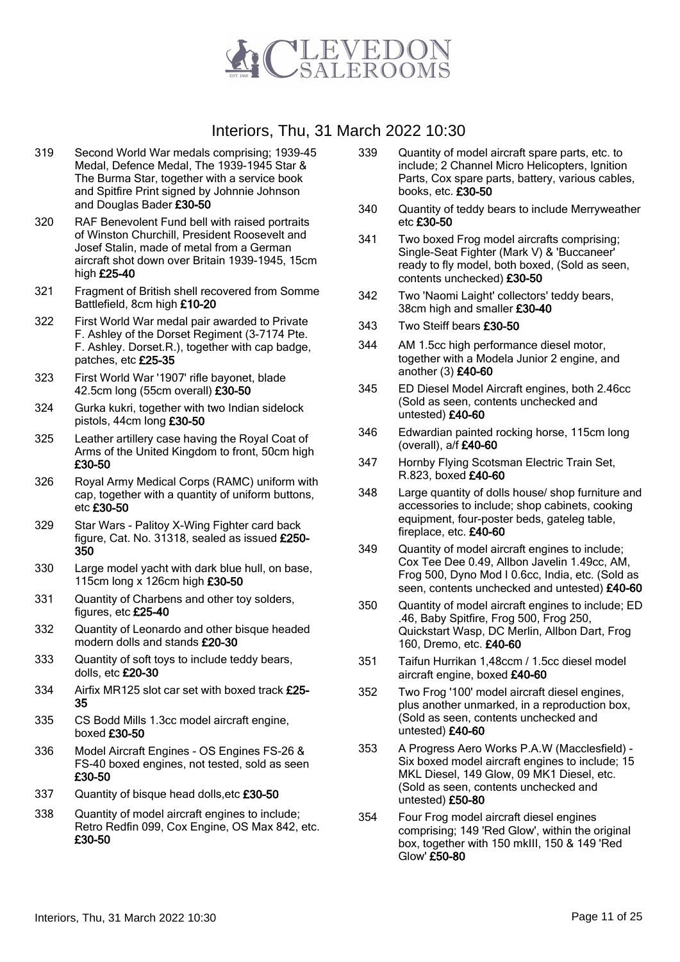

- 319 Second World War medals comprising; 1939-45 Medal, Defence Medal, The 1939-1945 Star & The Burma Star, together with a service book and Spitfire Print signed by Johnnie Johnson and Douglas Bader £30-50
- 320 RAF Benevolent Fund bell with raised portraits of Winston Churchill, President Roosevelt and Josef Stalin, made of metal from a German aircraft shot down over Britain 1939-1945, 15cm high £25-40
- 321 Fragment of British shell recovered from Somme Battlefield, 8cm high £10-20
- 322 First World War medal pair awarded to Private F. Ashley of the Dorset Regiment (3-7174 Pte. F. Ashley. Dorset.R.), together with cap badge, patches, etc £25-35
- 323 First World War '1907' rifle bayonet, blade 42.5cm long (55cm overall) £30-50
- 324 Gurka kukri, together with two Indian sidelock pistols, 44cm long £30-50
- 325 Leather artillery case having the Royal Coat of Arms of the United Kingdom to front, 50cm high £30-50
- 326 Royal Army Medical Corps (RAMC) uniform with cap, together with a quantity of uniform buttons, etc £30-50
- 329 Star Wars Palitoy X-Wing Fighter card back figure, Cat. No. 31318, sealed as issued £250- 350
- 330 Large model yacht with dark blue hull, on base, 115cm long x 126cm high £30-50
- 331 Quantity of Charbens and other toy solders, figures, etc £25-40
- 332 Quantity of Leonardo and other bisque headed modern dolls and stands £20-30
- 333 Quantity of soft toys to include teddy bears, dolls, etc £20-30
- 334 Airfix MR125 slot car set with boxed track £25- 35
- 335 CS Bodd Mills 1.3cc model aircraft engine, boxed £30-50
- 336 Model Aircraft Engines OS Engines FS-26 & FS-40 boxed engines, not tested, sold as seen £30-50
- 337 Quantity of bisque head dolls, etc £30-50
- 338 Quantity of model aircraft engines to include; Retro Redfin 099, Cox Engine, OS Max 842, etc. £30-50
- 339 Quantity of model aircraft spare parts, etc. to include; 2 Channel Micro Helicopters, Ignition Parts, Cox spare parts, battery, various cables, books, etc. £30-50
- 340 Quantity of teddy bears to include Merryweather etc £30-50
- 341 Two boxed Frog model aircrafts comprising; Single-Seat Fighter (Mark V) & 'Buccaneer' ready to fly model, both boxed, (Sold as seen, contents unchecked) £30-50
- 342 Two 'Naomi Laight' collectors' teddy bears, 38cm high and smaller £30-40
- 343 Two Steiff bears £30-50
- 344 AM 1.5cc high performance diesel motor, together with a Modela Junior 2 engine, and another (3) £40-60
- 345 ED Diesel Model Aircraft engines, both 2.46cc (Sold as seen, contents unchecked and untested) £40-60
- 346 Edwardian painted rocking horse, 115cm long (overall), a/f £40-60
- 347 Hornby Flying Scotsman Electric Train Set, R.823, boxed £40-60
- 348 Large quantity of dolls house/ shop furniture and accessories to include; shop cabinets, cooking equipment, four-poster beds, gateleg table, fireplace, etc. £40-60
- 349 Quantity of model aircraft engines to include; Cox Tee Dee 0.49, Allbon Javelin 1.49cc, AM, Frog 500, Dyno Mod I 0.6cc, India, etc. (Sold as seen, contents unchecked and untested) £40-60
- 350 Quantity of model aircraft engines to include; ED .46, Baby Spitfire, Frog 500, Frog 250, Quickstart Wasp, DC Merlin, Allbon Dart, Frog 160, Dremo, etc. £40-60
- 351 Taifun Hurrikan 1,48ccm / 1.5cc diesel model aircraft engine, boxed £40-60
- 352 Two Frog '100' model aircraft diesel engines, plus another unmarked, in a reproduction box, (Sold as seen, contents unchecked and untested) £40-60
- 353 A Progress Aero Works P.A.W (Macclesfield) Six boxed model aircraft engines to include; 15 MKL Diesel, 149 Glow, 09 MK1 Diesel, etc. (Sold as seen, contents unchecked and untested) £50-80
- 354 Four Frog model aircraft diesel engines comprising; 149 'Red Glow', within the original box, together with 150 mkIII, 150 & 149 'Red Glow' £50-80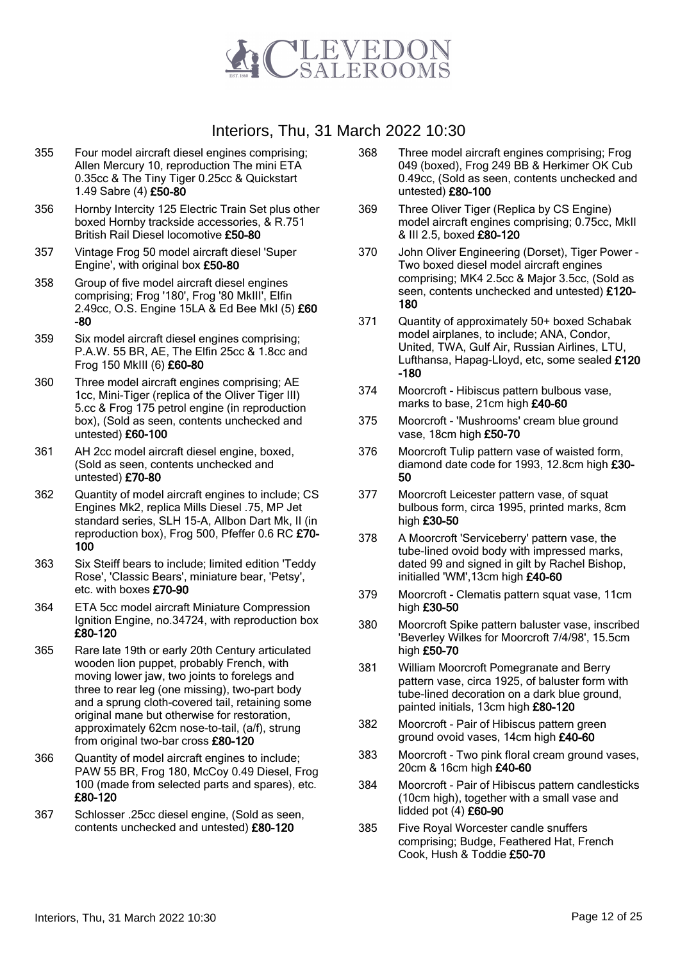

- 355 Four model aircraft diesel engines comprising; Allen Mercury 10, reproduction The mini ETA 0.35cc & The Tiny Tiger 0.25cc & Quickstart 1.49 Sabre (4) £50-80
- 356 Hornby Intercity 125 Electric Train Set plus other boxed Hornby trackside accessories, & R.751 British Rail Diesel locomotive £50-80
- 357 Vintage Frog 50 model aircraft diesel 'Super Engine', with original box £50-80
- 358 Group of five model aircraft diesel engines comprising; Frog '180', Frog '80 MkIII', Elfin 2.49cc, O.S. Engine 15LA & Ed Bee MkI (5) £60 -80
- 359 Six model aircraft diesel engines comprising; P.A.W. 55 BR, AE, The Elfin 25cc & 1.8cc and Frog 150 MkIII (6) £60-80
- 360 Three model aircraft engines comprising; AE 1cc, Mini-Tiger (replica of the Oliver Tiger III) 5.cc & Frog 175 petrol engine (in reproduction box), (Sold as seen, contents unchecked and untested) £60-100
- 361 AH 2cc model aircraft diesel engine, boxed, (Sold as seen, contents unchecked and untested) £70-80
- 362 Quantity of model aircraft engines to include; CS Engines Mk2, replica Mills Diesel .75, MP Jet standard series, SLH 15-A, Allbon Dart Mk, II (in reproduction box), Frog 500, Pfeffer 0.6 RC £70- 100
- 363 Six Steiff bears to include; limited edition 'Teddy Rose', 'Classic Bears', miniature bear, 'Petsy', etc. with boxes £70-90
- 364 ETA 5cc model aircraft Miniature Compression Ignition Engine, no.34724, with reproduction box £80-120
- 365 Rare late 19th or early 20th Century articulated wooden lion puppet, probably French, with moving lower jaw, two joints to forelegs and three to rear leg (one missing), two-part body and a sprung cloth-covered tail, retaining some original mane but otherwise for restoration, approximately 62cm nose-to-tail, (a/f), strung from original two-bar cross £80-120
- 366 Quantity of model aircraft engines to include; PAW 55 BR, Frog 180, McCoy 0.49 Diesel, Frog 100 (made from selected parts and spares), etc. £80-120
- 367 Schlosser .25cc diesel engine, (Sold as seen, contents unchecked and untested) £80-120
- 368 Three model aircraft engines comprising; Frog 049 (boxed), Frog 249 BB & Herkimer OK Cub 0.49cc, (Sold as seen, contents unchecked and untested) £80-100
- 369 Three Oliver Tiger (Replica by CS Engine) model aircraft engines comprising; 0.75cc, MkII & III 2.5, boxed £80-120
- 370 John Oliver Engineering (Dorset), Tiger Power Two boxed diesel model aircraft engines comprising; MK4 2.5cc & Major 3.5cc, (Sold as seen, contents unchecked and untested) £120- 180
- 371 Quantity of approximately 50+ boxed Schabak model airplanes, to include; ANA, Condor, United, TWA, Gulf Air, Russian Airlines, LTU, Lufthansa, Hapag-Lloyd, etc, some sealed £120 -180
- 374 Moorcroft Hibiscus pattern bulbous vase, marks to base, 21cm high £40-60
- 375 Moorcroft 'Mushrooms' cream blue ground vase, 18cm high £50-70
- 376 Moorcroft Tulip pattern vase of waisted form, diamond date code for 1993, 12.8cm high £30- 50
- 377 Moorcroft Leicester pattern vase, of squat bulbous form, circa 1995, printed marks, 8cm high £30-50
- 378 A Moorcroft 'Serviceberry' pattern vase, the tube-lined ovoid body with impressed marks, dated 99 and signed in gilt by Rachel Bishop, initialled 'WM',13cm high £40-60
- 379 Moorcroft Clematis pattern squat vase, 11cm high £30-50
- 380 Moorcroft Spike pattern baluster vase, inscribed 'Beverley Wilkes for Moorcroft 7/4/98', 15.5cm high £50-70
- 381 William Moorcroft Pomegranate and Berry pattern vase, circa 1925, of baluster form with tube-lined decoration on a dark blue ground, painted initials, 13cm high £80-120
- 382 Moorcroft Pair of Hibiscus pattern green ground ovoid vases, 14cm high £40-60
- 383 Moorcroft Two pink floral cream ground vases, 20cm & 16cm high £40-60
- 384 Moorcroft Pair of Hibiscus pattern candlesticks (10cm high), together with a small vase and lidded pot (4) £60-90
- 385 Five Royal Worcester candle snuffers comprising; Budge, Feathered Hat, French Cook, Hush & Toddie £50-70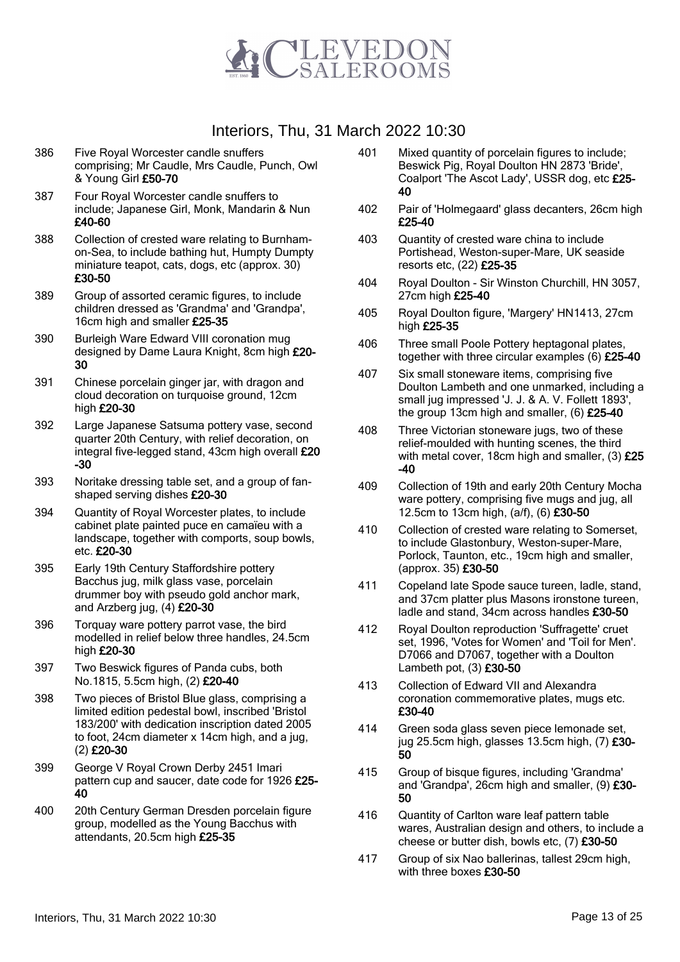

- 386 Five Royal Worcester candle snuffers comprising; Mr Caudle, Mrs Caudle, Punch, Owl & Young Girl £50-70
- 387 Four Royal Worcester candle snuffers to include; Japanese Girl, Monk, Mandarin & Nun £40-60
- 388 Collection of crested ware relating to Burnhamon-Sea, to include bathing hut, Humpty Dumpty miniature teapot, cats, dogs, etc (approx. 30) £30-50
- 389 Group of assorted ceramic figures, to include children dressed as 'Grandma' and 'Grandpa', 16cm high and smaller £25-35
- 390 Burleigh Ware Edward VIII coronation mug designed by Dame Laura Knight, 8cm high £20- 30
- 391 Chinese porcelain ginger jar, with dragon and cloud decoration on turquoise ground, 12cm high £20-30
- 392 Large Japanese Satsuma pottery vase, second quarter 20th Century, with relief decoration, on integral five-legged stand, 43cm high overall £20 -30
- 393 Noritake dressing table set, and a group of fanshaped serving dishes £20-30
- 394 Quantity of Royal Worcester plates, to include cabinet plate painted puce en camaïeu with a landscape, together with comports, soup bowls, etc. £20-30
- 395 Early 19th Century Staffordshire pottery Bacchus jug, milk glass vase, porcelain drummer boy with pseudo gold anchor mark, and Arzberg jug, (4) £20-30
- 396 Torquay ware pottery parrot vase, the bird modelled in relief below three handles, 24.5cm high £20-30
- 397 Two Beswick figures of Panda cubs, both No.1815, 5.5cm high, (2) £20-40
- 398 Two pieces of Bristol Blue glass, comprising a limited edition pedestal bowl, inscribed 'Bristol 183/200' with dedication inscription dated 2005 to foot, 24cm diameter x 14cm high, and a jug, (2) £20-30
- 399 George V Royal Crown Derby 2451 Imari pattern cup and saucer, date code for 1926 £25-40
- 400 20th Century German Dresden porcelain figure group, modelled as the Young Bacchus with attendants, 20.5cm high £25-35
- 401 Mixed quantity of porcelain figures to include; Beswick Pig, Royal Doulton HN 2873 'Bride', Coalport 'The Ascot Lady', USSR dog, etc £25-40
- 402 Pair of 'Holmegaard' glass decanters, 26cm high £25-40
- 403 Quantity of crested ware china to include Portishead, Weston-super-Mare, UK seaside resorts etc, (22) £25-35
- 404 Royal Doulton Sir Winston Churchill, HN 3057, 27cm high £25-40
- 405 Royal Doulton figure, 'Margery' HN1413, 27cm high £25-35
- 406 Three small Poole Pottery heptagonal plates, together with three circular examples (6) £25-40
- 407 Six small stoneware items, comprising five Doulton Lambeth and one unmarked, including a small jug impressed 'J. J. & A. V. Follett 1893', the group 13cm high and smaller, (6) £25-40
- 408 Three Victorian stoneware jugs, two of these relief-moulded with hunting scenes, the third with metal cover, 18cm high and smaller, (3) £25 -40
- 409 Collection of 19th and early 20th Century Mocha ware pottery, comprising five mugs and jug, all 12.5cm to 13cm high, (a/f), (6) £30-50
- 410 Collection of crested ware relating to Somerset, to include Glastonbury, Weston-super-Mare, Porlock, Taunton, etc., 19cm high and smaller, (approx. 35) £30-50
- 411 Copeland late Spode sauce tureen, ladle, stand, and 37cm platter plus Masons ironstone tureen, ladle and stand, 34cm across handles £30-50
- 412 Royal Doulton reproduction 'Suffragette' cruet set, 1996, 'Votes for Women' and 'Toil for Men'. D7066 and D7067, together with a Doulton Lambeth pot, (3) £30-50
- 413 Collection of Edward VII and Alexandra coronation commemorative plates, mugs etc. £30-40
- 414 Green soda glass seven piece lemonade set, jug 25.5cm high, glasses 13.5cm high, (7) £30- 50
- 415 Group of bisque figures, including 'Grandma' and 'Grandpa', 26cm high and smaller, (9) £30- 50
- 416 Quantity of Carlton ware leaf pattern table wares, Australian design and others, to include a cheese or butter dish, bowls etc, (7) £30-50
- 417 Group of six Nao ballerinas, tallest 29cm high, with three boxes £30-50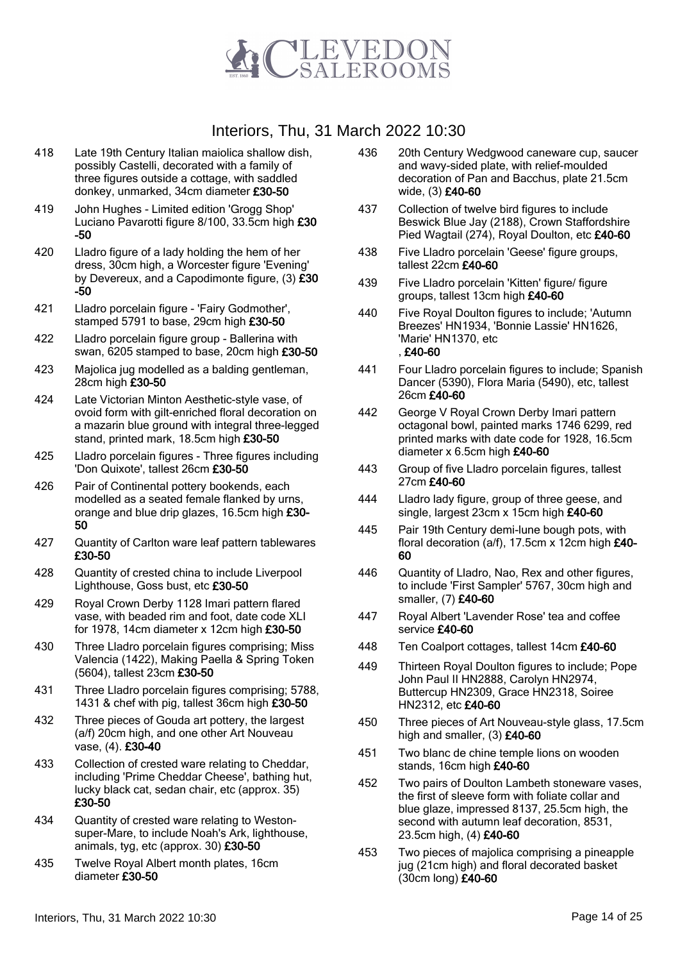

- 418 Late 19th Century Italian maiolica shallow dish, possibly Castelli, decorated with a family of three figures outside a cottage, with saddled donkey, unmarked, 34cm diameter £30-50
- 419 John Hughes Limited edition 'Grogg Shop' Luciano Pavarotti figure 8/100, 33.5cm high £30 -50
- 420 Lladro figure of a lady holding the hem of her dress, 30cm high, a Worcester figure 'Evening' by Devereux, and a Capodimonte figure, (3) £30 -50
- 421 Lladro porcelain figure 'Fairy Godmother', stamped 5791 to base, 29cm high £30-50
- 422 Lladro porcelain figure group Ballerina with swan, 6205 stamped to base, 20cm high £30-50
- 423 Majolica jug modelled as a balding gentleman, 28cm high £30-50
- 424 Late Victorian Minton Aesthetic-style vase, of ovoid form with gilt-enriched floral decoration on a mazarin blue ground with integral three-legged stand, printed mark, 18.5cm high £30-50
- 425 Lladro porcelain figures Three figures including 'Don Quixote', tallest 26cm £30-50
- 426 Pair of Continental pottery bookends, each modelled as a seated female flanked by urns, orange and blue drip glazes, 16.5cm high £30- 50
- 427 Quantity of Carlton ware leaf pattern tablewares £30-50
- 428 Quantity of crested china to include Liverpool Lighthouse, Goss bust, etc £30-50
- 429 Royal Crown Derby 1128 Imari pattern flared vase, with beaded rim and foot, date code XLI for 1978, 14cm diameter x 12cm high £30-50
- 430 Three Lladro porcelain figures comprising; Miss Valencia (1422), Making Paella & Spring Token (5604), tallest 23cm £30-50
- 431 Three Lladro porcelain figures comprising; 5788, 1431 & chef with pig, tallest 36cm high £30-50
- 432 Three pieces of Gouda art pottery, the largest (a/f) 20cm high, and one other Art Nouveau vase, (4). £30-40
- 433 Collection of crested ware relating to Cheddar, including 'Prime Cheddar Cheese', bathing hut, lucky black cat, sedan chair, etc (approx. 35) £30-50
- 434 Quantity of crested ware relating to Westonsuper-Mare, to include Noah's Ark, lighthouse, animals, tyg, etc (approx. 30) £30-50
- 435 Twelve Royal Albert month plates, 16cm diameter £30-50
- 436 20th Century Wedgwood caneware cup, saucer and wavy-sided plate, with relief-moulded decoration of Pan and Bacchus, plate 21.5cm wide, (3) £40-60
- 437 Collection of twelve bird figures to include Beswick Blue Jay (2188), Crown Staffordshire Pied Wagtail (274), Royal Doulton, etc £40-60
- 438 Five Lladro porcelain 'Geese' figure groups, tallest 22cm £40-60
- 439 Five Lladro porcelain 'Kitten' figure/ figure groups, tallest 13cm high £40-60
- 440 Five Royal Doulton figures to include; 'Autumn Breezes' HN1934, 'Bonnie Lassie' HN1626, 'Marie' HN1370, etc , £40-60
- 441 Four Lladro porcelain figures to include; Spanish Dancer (5390), Flora Maria (5490), etc, tallest 26cm £40-60
- 442 George V Royal Crown Derby Imari pattern octagonal bowl, painted marks 1746 6299, red printed marks with date code for 1928, 16.5cm diameter x 6.5cm high £40-60
- 443 Group of five Lladro porcelain figures, tallest 27cm £40-60
- 444 Lladro lady figure, group of three geese, and single, largest 23cm x 15cm high £40-60
- 445 Pair 19th Century demi-lune bough pots, with floral decoration (a/f), 17.5cm x 12cm high £40- 60
- 446 Quantity of Lladro, Nao, Rex and other figures, to include 'First Sampler' 5767, 30cm high and smaller, (7) £40-60
- 447 Royal Albert 'Lavender Rose' tea and coffee service £40-60
- 448 Ten Coalport cottages, tallest 14cm £40-60
- 449 Thirteen Royal Doulton figures to include; Pope John Paul II HN2888, Carolyn HN2974, Buttercup HN2309, Grace HN2318, Soiree HN2312, etc £40-60
- 450 Three pieces of Art Nouveau-style glass, 17.5cm high and smaller,  $(3)$  £40-60
- 451 Two blanc de chine temple lions on wooden stands, 16cm high £40-60
- 452 Two pairs of Doulton Lambeth stoneware vases, the first of sleeve form with foliate collar and blue glaze, impressed 8137, 25.5cm high, the second with autumn leaf decoration, 8531, 23.5cm high, (4) £40-60
- 453 Two pieces of majolica comprising a pineapple jug (21cm high) and floral decorated basket (30cm long) £40-60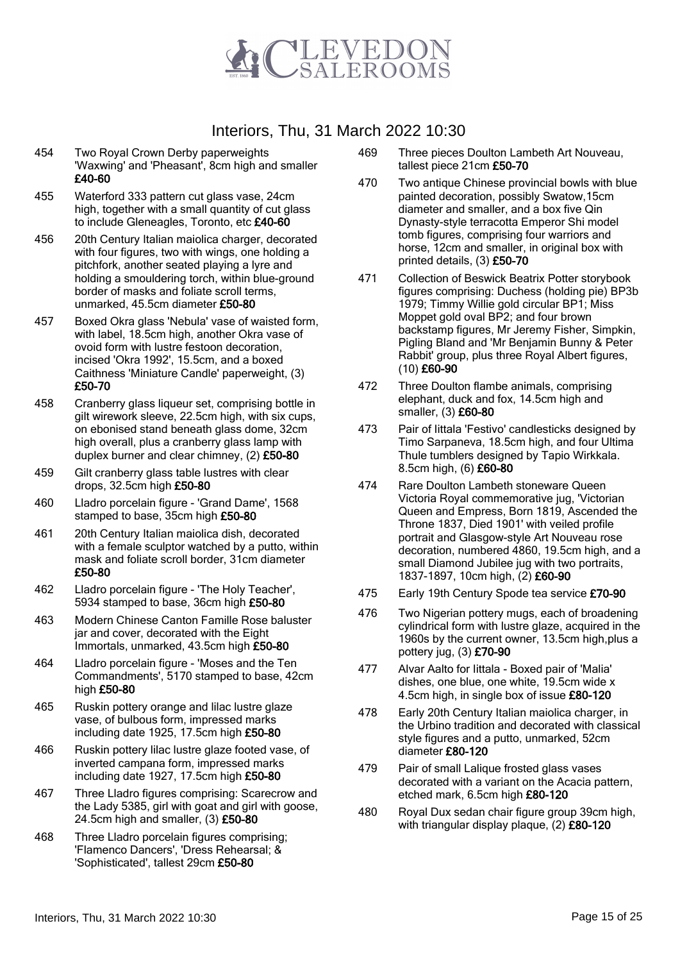

- 454 Two Royal Crown Derby paperweights 'Waxwing' and 'Pheasant', 8cm high and smaller £40-60
- 455 Waterford 333 pattern cut glass vase, 24cm high, together with a small quantity of cut glass to include Gleneagles, Toronto, etc £40-60
- 456 20th Century Italian maiolica charger, decorated with four figures, two with wings, one holding a pitchfork, another seated playing a lyre and holding a smouldering torch, within blue-ground border of masks and foliate scroll terms, unmarked, 45.5cm diameter £50-80
- 457 Boxed Okra glass 'Nebula' vase of waisted form, with label, 18.5cm high, another Okra vase of ovoid form with lustre festoon decoration, incised 'Okra 1992', 15.5cm, and a boxed Caithness 'Miniature Candle' paperweight, (3) £50-70
- 458 Cranberry glass liqueur set, comprising bottle in gilt wirework sleeve, 22.5cm high, with six cups, on ebonised stand beneath glass dome, 32cm high overall, plus a cranberry glass lamp with duplex burner and clear chimney, (2) £50-80
- 459 Gilt cranberry glass table lustres with clear drops, 32.5cm high £50-80
- 460 Lladro porcelain figure 'Grand Dame', 1568 stamped to base, 35cm high £50-80
- 461 20th Century Italian maiolica dish, decorated with a female sculptor watched by a putto, within mask and foliate scroll border, 31cm diameter £50-80
- 462 Lladro porcelain figure 'The Holy Teacher', 5934 stamped to base, 36cm high £50-80
- 463 Modern Chinese Canton Famille Rose baluster jar and cover, decorated with the Eight Immortals, unmarked, 43.5cm high £50-80
- 464 Lladro porcelain figure 'Moses and the Ten Commandments', 5170 stamped to base, 42cm high £50-80
- 465 Ruskin pottery orange and lilac lustre glaze vase, of bulbous form, impressed marks including date 1925, 17.5cm high £50-80
- 466 Ruskin pottery lilac lustre glaze footed vase, of inverted campana form, impressed marks including date 1927, 17.5cm high £50-80
- 467 Three Lladro figures comprising: Scarecrow and the Lady 5385, girl with goat and girl with goose, 24.5cm high and smaller, (3) £50-80
- 468 Three Lladro porcelain figures comprising; 'Flamenco Dancers', 'Dress Rehearsal; & 'Sophisticated', tallest 29cm £50-80
- 469 Three pieces Doulton Lambeth Art Nouveau, tallest piece 21cm £50-70
- 470 Two antique Chinese provincial bowls with blue painted decoration, possibly Swatow,15cm diameter and smaller, and a box five Qin Dynasty-style terracotta Emperor Shi model tomb figures, comprising four warriors and horse, 12cm and smaller, in original box with printed details, (3) £50-70
- 471 Collection of Beswick Beatrix Potter storybook figures comprising: Duchess (holding pie) BP3b 1979; Timmy Willie gold circular BP1; Miss Moppet gold oval BP2; and four brown backstamp figures, Mr Jeremy Fisher, Simpkin, Pigling Bland and 'Mr Benjamin Bunny & Peter Rabbit' group, plus three Royal Albert figures, (10) £60-90
- 472 Three Doulton flambe animals, comprising elephant, duck and fox, 14.5cm high and smaller, (3) £60-80
- 473 Pair of Iittala 'Festivo' candlesticks designed by Timo Sarpaneva, 18.5cm high, and four Ultima Thule tumblers designed by Tapio Wirkkala. 8.5cm high, (6) £60-80
- 474 Rare Doulton Lambeth stoneware Queen Victoria Royal commemorative jug, 'Victorian Queen and Empress, Born 1819, Ascended the Throne 1837, Died 1901' with veiled profile portrait and Glasgow-style Art Nouveau rose decoration, numbered 4860, 19.5cm high, and a small Diamond Jubilee jug with two portraits, 1837-1897, 10cm high, (2) £60-90
- 475 Early 19th Century Spode tea service £70-90
- 476 Two Nigerian pottery mugs, each of broadening cylindrical form with lustre glaze, acquired in the 1960s by the current owner, 13.5cm high,plus a pottery jug, (3) £70-90
- 477 Alvar Aalto for Iittala Boxed pair of 'Malia' dishes, one blue, one white, 19.5cm wide x 4.5cm high, in single box of issue £80-120
- 478 Early 20th Century Italian maiolica charger, in the Urbino tradition and decorated with classical style figures and a putto, unmarked, 52cm diameter £80-120
- 479 Pair of small Lalique frosted glass vases decorated with a variant on the Acacia pattern, etched mark, 6.5cm high £80-120
- 480 Royal Dux sedan chair figure group 39cm high, with triangular display plaque, (2) £80-120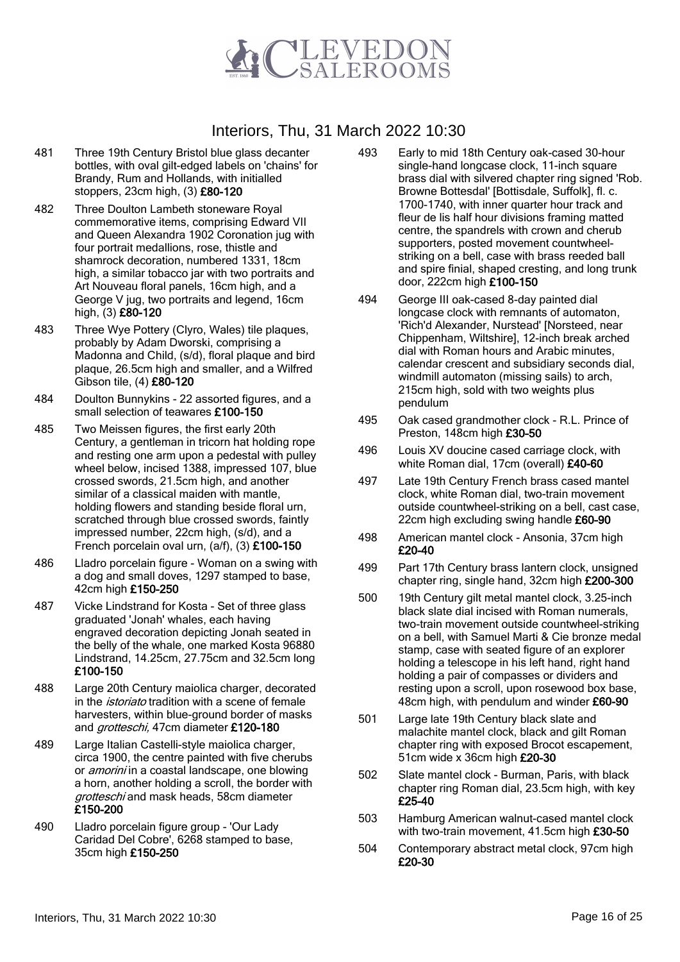

- 481 Three 19th Century Bristol blue glass decanter bottles, with oval gilt-edged labels on 'chains' for Brandy, Rum and Hollands, with initialled stoppers, 23cm high, (3) £80-120
- 482 Three Doulton Lambeth stoneware Royal commemorative items, comprising Edward VII and Queen Alexandra 1902 Coronation jug with four portrait medallions, rose, thistle and shamrock decoration, numbered 1331, 18cm high, a similar tobacco jar with two portraits and Art Nouveau floral panels, 16cm high, and a George V jug, two portraits and legend, 16cm high, (3) £80-120
- 483 Three Wye Pottery (Clyro, Wales) tile plaques, probably by Adam Dworski, comprising a Madonna and Child, (s/d), floral plaque and bird plaque, 26.5cm high and smaller, and a Wilfred Gibson tile, (4) £80-120
- 484 Doulton Bunnykins 22 assorted figures, and a small selection of teawares £100-150
- 485 Two Meissen figures, the first early 20th Century, a gentleman in tricorn hat holding rope and resting one arm upon a pedestal with pulley wheel below, incised 1388, impressed 107, blue crossed swords, 21.5cm high, and another similar of a classical maiden with mantle. holding flowers and standing beside floral urn, scratched through blue crossed swords, faintly impressed number, 22cm high, (s/d), and a French porcelain oval urn, (a/f), (3) £100-150
- 486 Lladro porcelain figure Woman on a swing with a dog and small doves, 1297 stamped to base, 42cm high £150-250
- 487 Vicke Lindstrand for Kosta Set of three glass graduated 'Jonah' whales, each having engraved decoration depicting Jonah seated in the belly of the whale, one marked Kosta 96880 Lindstrand, 14.25cm, 27.75cm and 32.5cm long £100-150
- 488 Large 20th Century maiolica charger, decorated in the *istoriato* tradition with a scene of female harvesters, within blue-ground border of masks and *grotteschi*, 47cm diameter £120-180
- 489 Large Italian Castelli-style maiolica charger, circa 1900, the centre painted with five cherubs or *amorini* in a coastal landscape, one blowing a horn, another holding a scroll, the border with grotteschi and mask heads, 58cm diameter £150-200
- 490 Lladro porcelain figure group 'Our Lady Caridad Del Cobre', 6268 stamped to base, 35cm high £150-250
- 493 Early to mid 18th Century oak-cased 30-hour single-hand longcase clock, 11-inch square brass dial with silvered chapter ring signed 'Rob. Browne Bottesdal' [Bottisdale, Suffolk], fl. c. 1700-1740, with inner quarter hour track and fleur de lis half hour divisions framing matted centre, the spandrels with crown and cherub supporters, posted movement countwheelstriking on a bell, case with brass reeded ball and spire finial, shaped cresting, and long trunk door, 222cm high £100-150
- 494 George III oak-cased 8-day painted dial longcase clock with remnants of automaton, 'Rich'd Alexander, Nurstead' [Norsteed, near Chippenham, Wiltshire], 12-inch break arched dial with Roman hours and Arabic minutes, calendar crescent and subsidiary seconds dial, windmill automaton (missing sails) to arch, 215cm high, sold with two weights plus pendulum
- 495 Oak cased grandmother clock R.L. Prince of Preston, 148cm high £30-50
- 496 Louis XV doucine cased carriage clock, with white Roman dial, 17cm (overall) £40-60
- 497 Late 19th Century French brass cased mantel clock, white Roman dial, two-train movement outside countwheel-striking on a bell, cast case, 22cm high excluding swing handle £60-90
- 498 American mantel clock Ansonia, 37cm high £20-40
- 499 Part 17th Century brass lantern clock, unsigned chapter ring, single hand, 32cm high £200-300
- 500 19th Century gilt metal mantel clock, 3.25-inch black slate dial incised with Roman numerals, two-train movement outside countwheel-striking on a bell, with Samuel Marti & Cie bronze medal stamp, case with seated figure of an explorer holding a telescope in his left hand, right hand holding a pair of compasses or dividers and resting upon a scroll, upon rosewood box base, 48cm high, with pendulum and winder £60-90
- 501 Large late 19th Century black slate and malachite mantel clock, black and gilt Roman chapter ring with exposed Brocot escapement, 51cm wide x 36cm high £20-30
- 502 Slate mantel clock Burman, Paris, with black chapter ring Roman dial, 23.5cm high, with key £25-40
- 503 Hamburg American walnut-cased mantel clock with two-train movement, 41.5cm high £30-50
- 504 Contemporary abstract metal clock, 97cm high £20-30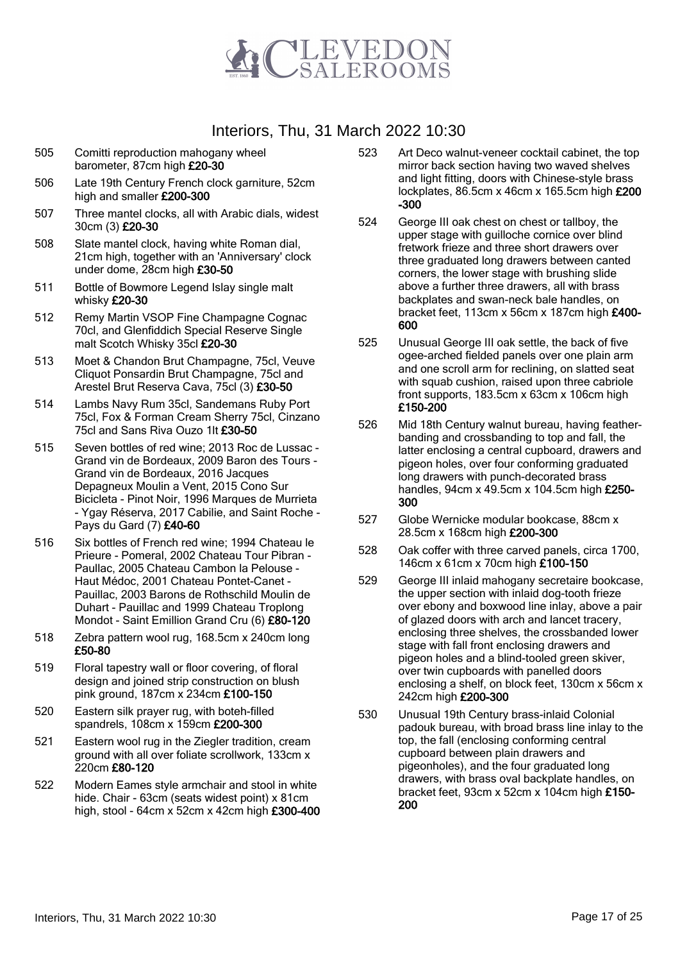

- 505 Comitti reproduction mahogany wheel barometer, 87cm high £20-30
- 506 Late 19th Century French clock garniture, 52cm high and smaller £200-300
- 507 Three mantel clocks, all with Arabic dials, widest 30cm (3) £20-30
- 508 Slate mantel clock, having white Roman dial, 21cm high, together with an 'Anniversary' clock under dome, 28cm high £30-50
- 511 Bottle of Bowmore Legend Islay single malt whisky £20-30
- 512 Remy Martin VSOP Fine Champagne Cognac 70cl, and Glenfiddich Special Reserve Single malt Scotch Whisky 35cl £20-30
- 513 Moet & Chandon Brut Champagne, 75cl, Veuve Cliquot Ponsardin Brut Champagne, 75cl and Arestel Brut Reserva Cava, 75cl (3) £30-50
- 514 Lambs Navy Rum 35cl, Sandemans Ruby Port 75cl, Fox & Forman Cream Sherry 75cl, Cinzano 75cl and Sans Riva Ouzo 1lt £30-50
- 515 Seven bottles of red wine; 2013 Roc de Lussac Grand vin de Bordeaux, 2009 Baron des Tours - Grand vin de Bordeaux, 2016 Jacques Depagneux Moulin a Vent, 2015 Cono Sur Bicicleta - Pinot Noir, 1996 Marques de Murrieta - Ygay Réserva, 2017 Cabilie, and Saint Roche - Pays du Gard (7) £40-60
- 516 Six bottles of French red wine; 1994 Chateau le Prieure - Pomeral, 2002 Chateau Tour Pibran - Paullac, 2005 Chateau Cambon la Pelouse - Haut Médoc, 2001 Chateau Pontet-Canet - Pauillac, 2003 Barons de Rothschild Moulin de Duhart - Pauillac and 1999 Chateau Troplong Mondot - Saint Emillion Grand Cru (6) £80-120
- 518 Zebra pattern wool rug, 168.5cm x 240cm long £50-80
- 519 Floral tapestry wall or floor covering, of floral design and joined strip construction on blush pink ground, 187cm x 234cm £100-150
- 520 Eastern silk prayer rug, with boteh-filled spandrels, 108cm x 159cm £200-300
- 521 Eastern wool rug in the Ziegler tradition, cream ground with all over foliate scrollwork, 133cm x 220cm £80-120
- 522 Modern Eames style armchair and stool in white hide. Chair - 63cm (seats widest point) x 81cm high, stool - 64cm x 52cm x 42cm high £300-400
- 523 Art Deco walnut-veneer cocktail cabinet, the top mirror back section having two waved shelves and light fitting, doors with Chinese-style brass lockplates, 86.5cm x 46cm x 165.5cm high £200 -300
- 524 George III oak chest on chest or tallboy, the upper stage with guilloche cornice over blind fretwork frieze and three short drawers over three graduated long drawers between canted corners, the lower stage with brushing slide above a further three drawers, all with brass backplates and swan-neck bale handles, on bracket feet, 113cm x 56cm x 187cm high £400- 600
- 525 Unusual George III oak settle, the back of five ogee-arched fielded panels over one plain arm and one scroll arm for reclining, on slatted seat with squab cushion, raised upon three cabriole front supports, 183.5cm x 63cm x 106cm high £150-200
- 526 Mid 18th Century walnut bureau, having featherbanding and crossbanding to top and fall, the latter enclosing a central cupboard, drawers and pigeon holes, over four conforming graduated long drawers with punch-decorated brass handles, 94cm x 49.5cm x 104.5cm high £250-300
- 527 Globe Wernicke modular bookcase, 88cm x 28.5cm x 168cm high £200-300
- 528 Oak coffer with three carved panels, circa 1700, 146cm x 61cm x 70cm high £100-150
- 529 George III inlaid mahogany secretaire bookcase, the upper section with inlaid dog-tooth frieze over ebony and boxwood line inlay, above a pair of glazed doors with arch and lancet tracery, enclosing three shelves, the crossbanded lower stage with fall front enclosing drawers and pigeon holes and a blind-tooled green skiver, over twin cupboards with panelled doors enclosing a shelf, on block feet, 130cm x 56cm x 242cm high £200-300
- 530 Unusual 19th Century brass-inlaid Colonial padouk bureau, with broad brass line inlay to the top, the fall (enclosing conforming central cupboard between plain drawers and pigeonholes), and the four graduated long drawers, with brass oval backplate handles, on bracket feet, 93cm x 52cm x 104cm high £150- 200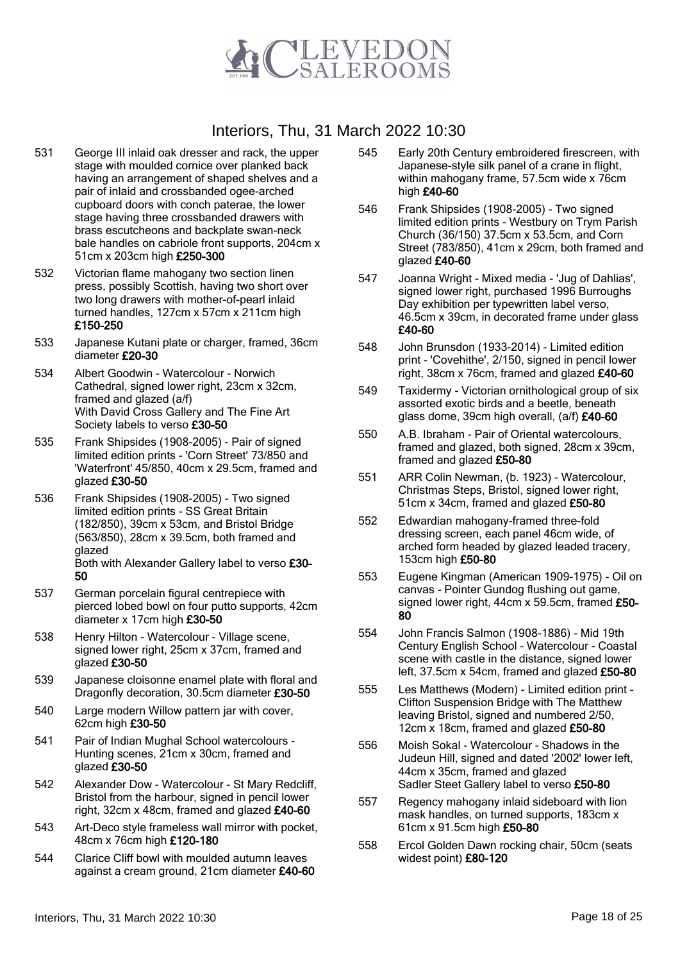

- 531 George III inlaid oak dresser and rack, the upper stage with moulded cornice over planked back having an arrangement of shaped shelves and a pair of inlaid and crossbanded ogee-arched cupboard doors with conch paterae, the lower stage having three crossbanded drawers with brass escutcheons and backplate swan-neck bale handles on cabriole front supports, 204cm x 51cm x 203cm high £250-300
- 532 Victorian flame mahogany two section linen press, possibly Scottish, having two short over two long drawers with mother-of-pearl inlaid turned handles, 127cm x 57cm x 211cm high £150-250
- 533 Japanese Kutani plate or charger, framed, 36cm diameter £20-30
- 534 Albert Goodwin Watercolour Norwich Cathedral, signed lower right, 23cm x 32cm, framed and glazed (a/f) With David Cross Gallery and The Fine Art Society labels to verso £30-50
- 535 Frank Shipsides (1908-2005) Pair of signed limited edition prints - 'Corn Street' 73/850 and 'Waterfront' 45/850, 40cm x 29.5cm, framed and glazed £30-50
- 536 Frank Shipsides (1908-2005) Two signed limited edition prints - SS Great Britain (182/850), 39cm x 53cm, and Bristol Bridge (563/850), 28cm x 39.5cm, both framed and glazed Both with Alexander Gallery label to verso £30- 50
- 537 German porcelain figural centrepiece with pierced lobed bowl on four putto supports, 42cm diameter x 17cm high £30-50
- 538 Henry Hilton Watercolour Village scene, signed lower right, 25cm x 37cm, framed and glazed £30-50
- 539 Japanese cloisonne enamel plate with floral and Dragonfly decoration, 30.5cm diameter £30-50
- 540 Large modern Willow pattern jar with cover, 62cm high £30-50
- 541 Pair of Indian Mughal School watercolours Hunting scenes, 21cm x 30cm, framed and glazed £30-50
- 542 Alexander Dow Watercolour St Mary Redcliff, Bristol from the harbour, signed in pencil lower right, 32cm x 48cm, framed and glazed £40-60
- 543 Art-Deco style frameless wall mirror with pocket, 48cm x 76cm high £120-180
- 544 Clarice Cliff bowl with moulded autumn leaves against a cream ground, 21cm diameter £40-60
- 545 Early 20th Century embroidered firescreen, with Japanese-style silk panel of a crane in flight, within mahogany frame, 57.5cm wide x 76cm high £40-60
- 546 Frank Shipsides (1908-2005) Two signed limited edition prints - Westbury on Trym Parish Church (36/150) 37.5cm x 53.5cm, and Corn Street (783/850), 41cm x 29cm, both framed and glazed £40-60
- 547 Joanna Wright Mixed media 'Jug of Dahlias', signed lower right, purchased 1996 Burroughs Day exhibition per typewritten label verso, 46.5cm x 39cm, in decorated frame under glass £40-60
- 548 John Brunsdon (1933-2014) Limited edition print - 'Covehithe', 2/150, signed in pencil lower right, 38cm x 76cm, framed and glazed £40-60
- 549 Taxidermy Victorian ornithological group of six assorted exotic birds and a beetle, beneath glass dome, 39cm high overall, (a/f) £40-60
- 550 A.B. Ibraham Pair of Oriental watercolours, framed and glazed, both signed, 28cm x 39cm, framed and glazed £50-80
- 551 ARR Colin Newman, (b. 1923) Watercolour, Christmas Steps, Bristol, signed lower right, 51cm x 34cm, framed and glazed £50-80
- 552 Edwardian mahogany-framed three-fold dressing screen, each panel 46cm wide, of arched form headed by glazed leaded tracery, 153cm high £50-80
- 553 Eugene Kingman (American 1909-1975) Oil on canvas - Pointer Gundog flushing out game, signed lower right, 44cm x 59.5cm, framed £50-80
- 554 John Francis Salmon (1908-1886) Mid 19th Century English School - Watercolour - Coastal scene with castle in the distance, signed lower left, 37.5cm x 54cm, framed and glazed £50-80
- 555 Les Matthews (Modern) Limited edition print Clifton Suspension Bridge with The Matthew leaving Bristol, signed and numbered 2/50, 12cm x 18cm, framed and glazed £50-80
- 556 Moish Sokal Watercolour Shadows in the Judeun Hill, signed and dated '2002' lower left, 44cm x 35cm, framed and glazed Sadler Steet Gallery label to verso £50-80
- 557 Regency mahogany inlaid sideboard with lion mask handles, on turned supports, 183cm x 61cm x 91.5cm high £50-80
- 558 Ercol Golden Dawn rocking chair, 50cm (seats widest point) £80-120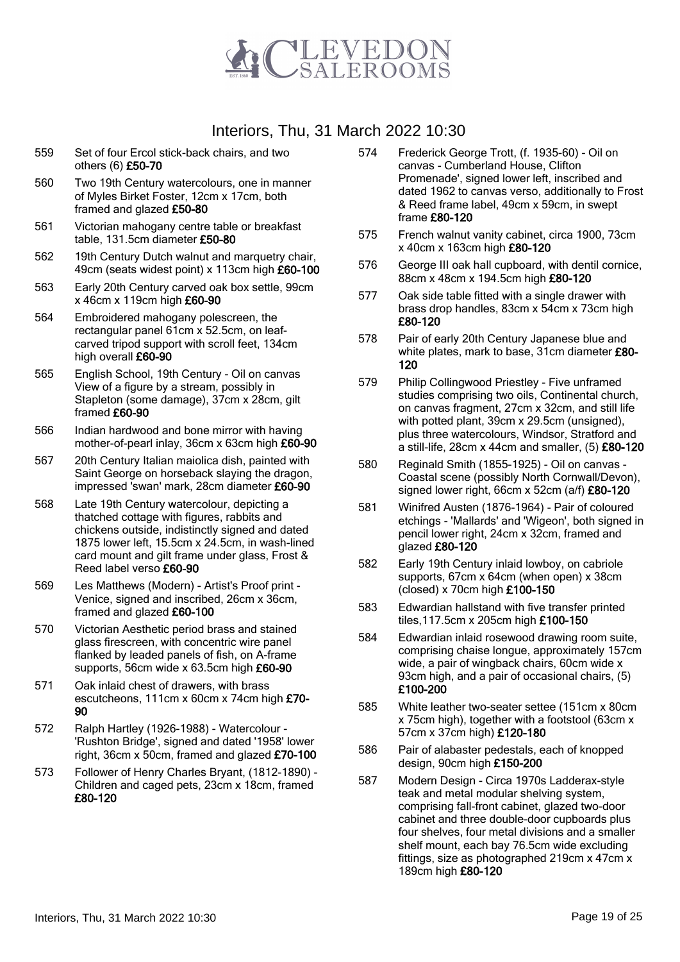

- 559 Set of four Ercol stick-back chairs, and two others (6) £50-70
- 560 Two 19th Century watercolours, one in manner of Myles Birket Foster, 12cm x 17cm, both framed and glazed £50-80
- 561 Victorian mahogany centre table or breakfast table, 131.5cm diameter £50-80
- 562 19th Century Dutch walnut and marquetry chair, 49cm (seats widest point) x 113cm high £60-100
- 563 Early 20th Century carved oak box settle, 99cm x 46cm x 119cm high £60-90
- 564 Embroidered mahogany polescreen, the rectangular panel 61cm x 52.5cm, on leafcarved tripod support with scroll feet, 134cm high overall £60-90
- 565 English School, 19th Century Oil on canvas View of a figure by a stream, possibly in Stapleton (some damage), 37cm x 28cm, gilt framed £60-90
- 566 Indian hardwood and bone mirror with having mother-of-pearl inlay, 36cm x 63cm high £60-90
- 567 20th Century Italian maiolica dish, painted with Saint George on horseback slaying the dragon, impressed 'swan' mark, 28cm diameter £60-90
- 568 Late 19th Century watercolour, depicting a thatched cottage with figures, rabbits and chickens outside, indistinctly signed and dated 1875 lower left, 15.5cm x 24.5cm, in wash-lined card mount and gilt frame under glass, Frost & Reed label verso £60-90
- 569 Les Matthews (Modern) Artist's Proof print Venice, signed and inscribed, 26cm x 36cm, framed and glazed £60-100
- 570 Victorian Aesthetic period brass and stained glass firescreen, with concentric wire panel flanked by leaded panels of fish, on A-frame supports, 56cm wide x 63.5cm high £60-90
- 571 Oak inlaid chest of drawers, with brass escutcheons, 111cm x 60cm x 74cm high £70- 90
- 572 Ralph Hartley (1926-1988) Watercolour 'Rushton Bridge', signed and dated '1958' lower right, 36cm x 50cm, framed and glazed £70-100
- 573 Follower of Henry Charles Bryant, (1812-1890) Children and caged pets, 23cm x 18cm, framed £80-120
- 574 Frederick George Trott, (f. 1935-60) Oil on canvas - Cumberland House, Clifton Promenade', signed lower left, inscribed and dated 1962 to canvas verso, additionally to Frost & Reed frame label, 49cm x 59cm, in swept frame £80-120
- 575 French walnut vanity cabinet, circa 1900, 73cm x 40cm x 163cm high £80-120
- 576 George III oak hall cupboard, with dentil cornice, 88cm x 48cm x 194.5cm high £80-120
- 577 Oak side table fitted with a single drawer with brass drop handles, 83cm x 54cm x 73cm high £80-120
- 578 Pair of early 20th Century Japanese blue and white plates, mark to base, 31cm diameter £80-120
- 579 Philip Collingwood Priestley Five unframed studies comprising two oils, Continental church, on canvas fragment, 27cm x 32cm, and still life with potted plant, 39cm x 29.5cm (unsigned), plus three watercolours, Windsor, Stratford and a still-life, 28cm x 44cm and smaller,  $(5)$  £80-120
- 580 Reginald Smith (1855-1925) Oil on canvas Coastal scene (possibly North Cornwall/Devon), signed lower right, 66cm x 52cm (a/f) £80-120
- 581 Winifred Austen (1876-1964) Pair of coloured etchings - 'Mallards' and 'Wigeon', both signed in pencil lower right, 24cm x 32cm, framed and glazed £80-120
- 582 Early 19th Century inlaid lowboy, on cabriole supports, 67cm x 64cm (when open) x 38cm (closed) x 70cm high £100-150
- 583 Edwardian hallstand with five transfer printed tiles,117.5cm x 205cm high £100-150
- 584 Edwardian inlaid rosewood drawing room suite, comprising chaise longue, approximately 157cm wide, a pair of wingback chairs, 60cm wide x 93cm high, and a pair of occasional chairs, (5) £100-200
- 585 White leather two-seater settee (151cm x 80cm x 75cm high), together with a footstool (63cm x 57cm x 37cm high) £120-180
- 586 Pair of alabaster pedestals, each of knopped design, 90cm high £150-200
- 587 Modern Design Circa 1970s Ladderax-style teak and metal modular shelving system, comprising fall-front cabinet, glazed two-door cabinet and three double-door cupboards plus four shelves, four metal divisions and a smaller shelf mount, each bay 76.5cm wide excluding fittings, size as photographed 219cm x 47cm x 189cm high £80-120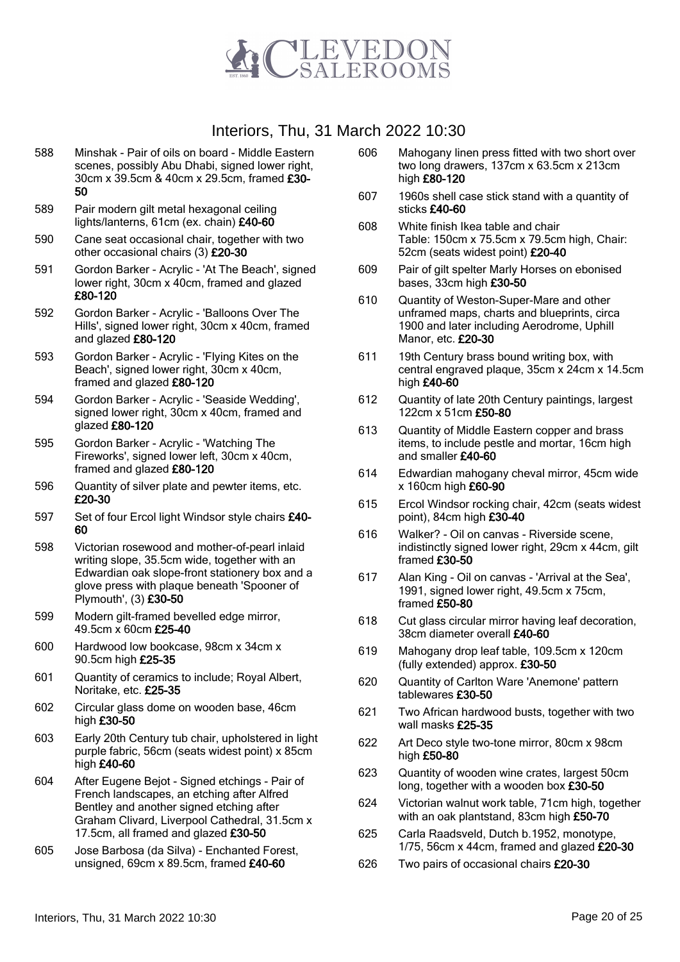

- 588 Minshak Pair of oils on board Middle Eastern scenes, possibly Abu Dhabi, signed lower right, 30cm x 39.5cm & 40cm x 29.5cm, framed £30- 50
- 589 Pair modern gilt metal hexagonal ceiling lights/lanterns, 61cm (ex. chain) £40-60
- 590 Cane seat occasional chair, together with two other occasional chairs (3) £20-30
- 591 Gordon Barker Acrylic 'At The Beach', signed lower right, 30cm x 40cm, framed and glazed £80-120
- 592 Gordon Barker Acrylic 'Balloons Over The Hills', signed lower right, 30cm x 40cm, framed and glazed £80-120
- 593 Gordon Barker Acrylic 'Flying Kites on the Beach', signed lower right, 30cm x 40cm, framed and glazed £80-120
- 594 Gordon Barker Acrylic 'Seaside Wedding', signed lower right, 30cm x 40cm, framed and glazed £80-120
- 595 Gordon Barker Acrylic 'Watching The Fireworks', signed lower left, 30cm x 40cm, framed and glazed £80-120
- 596 Quantity of silver plate and pewter items, etc. £20-30
- 597 Set of four Ercol light Windsor style chairs £40-60
- 598 Victorian rosewood and mother-of-pearl inlaid writing slope, 35.5cm wide, together with an Edwardian oak slope-front stationery box and a glove press with plaque beneath 'Spooner of Plymouth', (3) £30-50
- 599 Modern gilt-framed bevelled edge mirror, 49.5cm x 60cm £25-40
- 600 Hardwood low bookcase, 98cm x 34cm x 90.5cm high £25-35
- 601 Quantity of ceramics to include; Royal Albert, Noritake, etc. £25-35
- 602 Circular glass dome on wooden base, 46cm high £30-50
- 603 Early 20th Century tub chair, upholstered in light purple fabric, 56cm (seats widest point) x 85cm high £40-60
- 604 After Eugene Bejot Signed etchings Pair of French landscapes, an etching after Alfred Bentley and another signed etching after Graham Clivard, Liverpool Cathedral, 31.5cm x 17.5cm, all framed and glazed £30-50
- 605 Jose Barbosa (da Silva) Enchanted Forest, unsigned, 69cm x 89.5cm, framed £40-60
- 606 Mahogany linen press fitted with two short over two long drawers, 137cm x 63.5cm x 213cm high £80-120
- 607 1960s shell case stick stand with a quantity of sticks £40-60
- 608 White finish Ikea table and chair Table: 150cm x 75.5cm x 79.5cm high, Chair: 52cm (seats widest point) £20-40
- 609 Pair of gilt spelter Marly Horses on ebonised bases, 33cm high £30-50
- 610 Quantity of Weston-Super-Mare and other unframed maps, charts and blueprints, circa 1900 and later including Aerodrome, Uphill Manor, etc. £20-30
- 611 19th Century brass bound writing box, with central engraved plaque, 35cm x 24cm x 14.5cm high £40-60
- 612 Quantity of late 20th Century paintings, largest 122cm x 51cm £50-80
- 613 Quantity of Middle Eastern copper and brass items, to include pestle and mortar, 16cm high and smaller £40-60
- 614 Edwardian mahogany cheval mirror, 45cm wide x 160cm high £60-90
- 615 Ercol Windsor rocking chair, 42cm (seats widest point), 84cm high £30-40
- 616 Walker? Oil on canvas Riverside scene, indistinctly signed lower right, 29cm x 44cm, gilt framed £30-50
- 617 Alan King Oil on canvas 'Arrival at the Sea', 1991, signed lower right, 49.5cm x 75cm, framed £50-80
- 618 Cut glass circular mirror having leaf decoration, 38cm diameter overall £40-60
- 619 Mahogany drop leaf table, 109.5cm x 120cm (fully extended) approx. £30-50
- 620 Quantity of Carlton Ware 'Anemone' pattern tablewares £30-50
- 621 Two African hardwood busts, together with two wall masks £25-35
- 622 Art Deco style two-tone mirror, 80cm x 98cm high £50-80
- 623 Quantity of wooden wine crates, largest 50cm long, together with a wooden box £30-50
- 624 Victorian walnut work table, 71cm high, together with an oak plantstand, 83cm high £50-70
- 625 Carla Raadsveld, Dutch b.1952, monotype, 1/75, 56cm x 44cm, framed and glazed £20-30
- 626 Two pairs of occasional chairs £20-30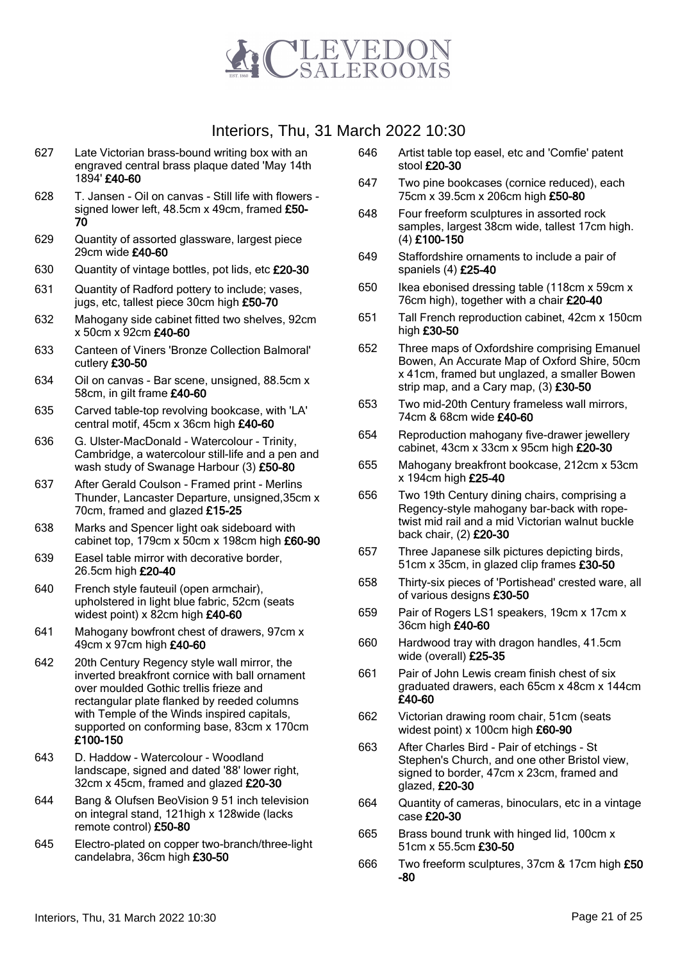

- 627 Late Victorian brass-bound writing box with an engraved central brass plaque dated 'May 14th 1894' £40-60
- 628 T. Jansen Oil on canvas Still life with flowers signed lower left, 48.5cm x 49cm, framed £50-70
- 629 Quantity of assorted glassware, largest piece 29cm wide £40-60
- 630 Quantity of vintage bottles, pot lids, etc £20-30
- 631 Quantity of Radford pottery to include; vases, jugs, etc, tallest piece 30cm high £50-70
- 632 Mahogany side cabinet fitted two shelves, 92cm x 50cm x 92cm £40-60
- 633 Canteen of Viners 'Bronze Collection Balmoral' cutlery £30-50
- 634 Oil on canvas Bar scene, unsigned, 88.5cm x 58cm, in gilt frame £40-60
- 635 Carved table-top revolving bookcase, with 'LA' central motif, 45cm x 36cm high £40-60
- 636 G. Ulster-MacDonald Watercolour Trinity, Cambridge, a watercolour still-life and a pen and wash study of Swanage Harbour (3) £50-80
- 637 After Gerald Coulson Framed print Merlins Thunder, Lancaster Departure, unsigned,35cm x 70cm, framed and glazed £15-25
- 638 Marks and Spencer light oak sideboard with cabinet top, 179cm x 50cm x 198cm high £60-90
- 639 Easel table mirror with decorative border, 26.5cm high £20-40
- 640 French style fauteuil (open armchair), upholstered in light blue fabric, 52cm (seats widest point) x 82cm high £40-60
- 641 Mahogany bowfront chest of drawers, 97cm x 49cm x 97cm high £40-60
- 642 20th Century Regency style wall mirror, the inverted breakfront cornice with ball ornament over moulded Gothic trellis frieze and rectangular plate flanked by reeded columns with Temple of the Winds inspired capitals, supported on conforming base, 83cm x 170cm £100-150
- 643 D. Haddow Watercolour Woodland landscape, signed and dated '88' lower right, 32cm x 45cm, framed and glazed £20-30
- 644 Bang & Olufsen BeoVision 9 51 inch television on integral stand, 121high x 128wide (lacks remote control) £50-80
- 645 Electro-plated on copper two-branch/three-light candelabra, 36cm high £30-50
- 646 Artist table top easel, etc and 'Comfie' patent stool £20-30
- 647 Two pine bookcases (cornice reduced), each 75cm x 39.5cm x 206cm high £50-80
- 648 Four freeform sculptures in assorted rock samples, largest 38cm wide, tallest 17cm high. (4) £100-150
- 649 Staffordshire ornaments to include a pair of spaniels (4) £25-40
- 650 Ikea ebonised dressing table (118cm x 59cm x 76cm high), together with a chair £20-40
- 651 Tall French reproduction cabinet, 42cm x 150cm high £30-50
- 652 Three maps of Oxfordshire comprising Emanuel Bowen, An Accurate Map of Oxford Shire, 50cm x 41cm, framed but unglazed, a smaller Bowen strip map, and a Cary map,  $(3)$  £30-50
- 653 Two mid-20th Century frameless wall mirrors, 74cm & 68cm wide £40-60
- 654 Reproduction mahogany five-drawer jewellery cabinet, 43cm x 33cm x 95cm high £20-30
- 655 Mahogany breakfront bookcase, 212cm x 53cm x 194cm high £25-40
- 656 Two 19th Century dining chairs, comprising a Regency-style mahogany bar-back with ropetwist mid rail and a mid Victorian walnut buckle back chair, (2) £20-30
- 657 Three Japanese silk pictures depicting birds, 51cm x 35cm, in glazed clip frames £30-50
- 658 Thirty-six pieces of 'Portishead' crested ware, all of various designs £30-50
- 659 Pair of Rogers LS1 speakers, 19cm x 17cm x 36cm high £40-60
- 660 Hardwood tray with dragon handles, 41.5cm wide (overall) £25-35
- 661 Pair of John Lewis cream finish chest of six graduated drawers, each 65cm x 48cm x 144cm £40-60
- 662 Victorian drawing room chair, 51cm (seats widest point) x 100cm high £60-90
- 663 After Charles Bird Pair of etchings St Stephen's Church, and one other Bristol view, signed to border, 47cm x 23cm, framed and glazed, £20-30
- 664 Quantity of cameras, binoculars, etc in a vintage case £20-30
- 665 Brass bound trunk with hinged lid, 100cm x 51cm x 55.5cm £30-50
- 666 Two freeform sculptures, 37cm & 17cm high £50 -80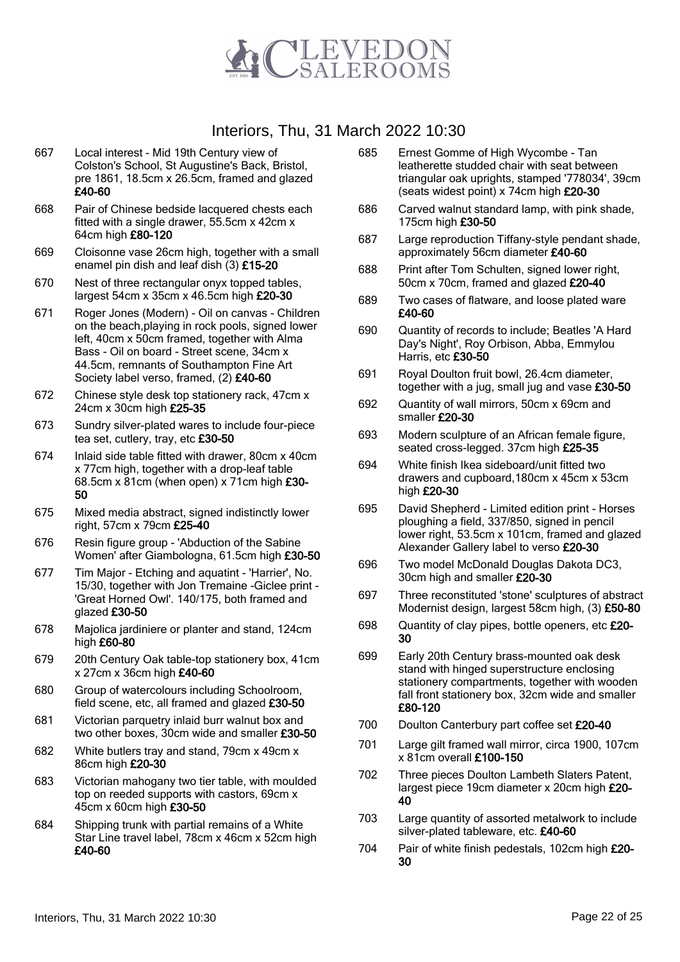

- 667 Local interest Mid 19th Century view of Colston's School, St Augustine's Back, Bristol, pre 1861, 18.5cm x 26.5cm, framed and glazed £40-60
- 668 Pair of Chinese bedside lacquered chests each fitted with a single drawer, 55.5cm x 42cm x 64cm high £80-120
- 669 Cloisonne vase 26cm high, together with a small enamel pin dish and leaf dish (3) £15-20
- 670 Nest of three rectangular onyx topped tables, largest 54cm x 35cm x 46.5cm high £20-30
- 671 Roger Jones (Modern) Oil on canvas Children on the beach,playing in rock pools, signed lower left, 40cm x 50cm framed, together with Alma Bass - Oil on board - Street scene, 34cm x 44.5cm, remnants of Southampton Fine Art Society label verso, framed, (2) £40-60
- 672 Chinese style desk top stationery rack, 47cm x 24cm x 30cm high £25-35
- 673 Sundry silver-plated wares to include four-piece tea set, cutlery, tray, etc £30-50
- 674 Inlaid side table fitted with drawer, 80cm x 40cm x 77cm high, together with a drop-leaf table 68.5cm x 81cm (when open) x 71cm high £30- 50
- 675 Mixed media abstract, signed indistinctly lower right, 57cm x 79cm £25-40
- 676 Resin figure group 'Abduction of the Sabine Women' after Giambologna, 61.5cm high £30-50
- 677 Tim Major Etching and aquatint 'Harrier', No. 15/30, together with Jon Tremaine -Giclee print - 'Great Horned Owl'. 140/175, both framed and glazed £30-50
- 678 Majolica jardiniere or planter and stand, 124cm high £60-80
- 679 20th Century Oak table-top stationery box, 41cm x 27cm x 36cm high £40-60
- 680 Group of watercolours including Schoolroom, field scene, etc, all framed and glazed £30-50
- 681 Victorian parquetry inlaid burr walnut box and two other boxes, 30cm wide and smaller £30-50
- 682 White butlers tray and stand, 79cm x 49cm x 86cm high £20-30
- 683 Victorian mahogany two tier table, with moulded top on reeded supports with castors, 69cm x 45cm x 60cm high £30-50
- 684 Shipping trunk with partial remains of a White Star Line travel label, 78cm x 46cm x 52cm high £40-60
- 685 Ernest Gomme of High Wycombe Tan leatherette studded chair with seat between triangular oak uprights, stamped '778034', 39cm (seats widest point) x 74cm high £20-30
- 686 Carved walnut standard lamp, with pink shade, 175cm high £30-50
- 687 Large reproduction Tiffany-style pendant shade, approximately 56cm diameter £40-60
- 688 Print after Tom Schulten, signed lower right, 50cm x 70cm, framed and glazed £20-40
- 689 Two cases of flatware, and loose plated ware £40-60
- 690 Quantity of records to include; Beatles 'A Hard Day's Night', Roy Orbison, Abba, Emmylou Harris, etc £30-50
- 691 Royal Doulton fruit bowl, 26.4cm diameter, together with a jug, small jug and vase  $£30-50$
- 692 Quantity of wall mirrors, 50cm x 69cm and smaller £20-30
- 693 Modern sculpture of an African female figure, seated cross-legged. 37cm high £25-35
- 694 White finish Ikea sideboard/unit fitted two drawers and cupboard,180cm x 45cm x 53cm high £20-30
- 695 David Shepherd Limited edition print Horses ploughing a field, 337/850, signed in pencil lower right, 53.5cm x 101cm, framed and glazed Alexander Gallery label to verso £20-30
- 696 Two model McDonald Douglas Dakota DC3, 30cm high and smaller £20-30
- 697 Three reconstituted 'stone' sculptures of abstract Modernist design, largest 58cm high, (3) £50-80
- 698 Quantity of clay pipes, bottle openers, etc £20-30
- 699 Early 20th Century brass-mounted oak desk stand with hinged superstructure enclosing stationery compartments, together with wooden fall front stationery box, 32cm wide and smaller £80-120
- 700 Doulton Canterbury part coffee set £20-40
- 701 Large gilt framed wall mirror, circa 1900, 107cm x 81cm overall £100-150
- 702 Three pieces Doulton Lambeth Slaters Patent, largest piece 19cm diameter x 20cm high £20-40
- 703 Large quantity of assorted metalwork to include silver-plated tableware, etc. £40-60
- 704 Pair of white finish pedestals, 102cm high £20-30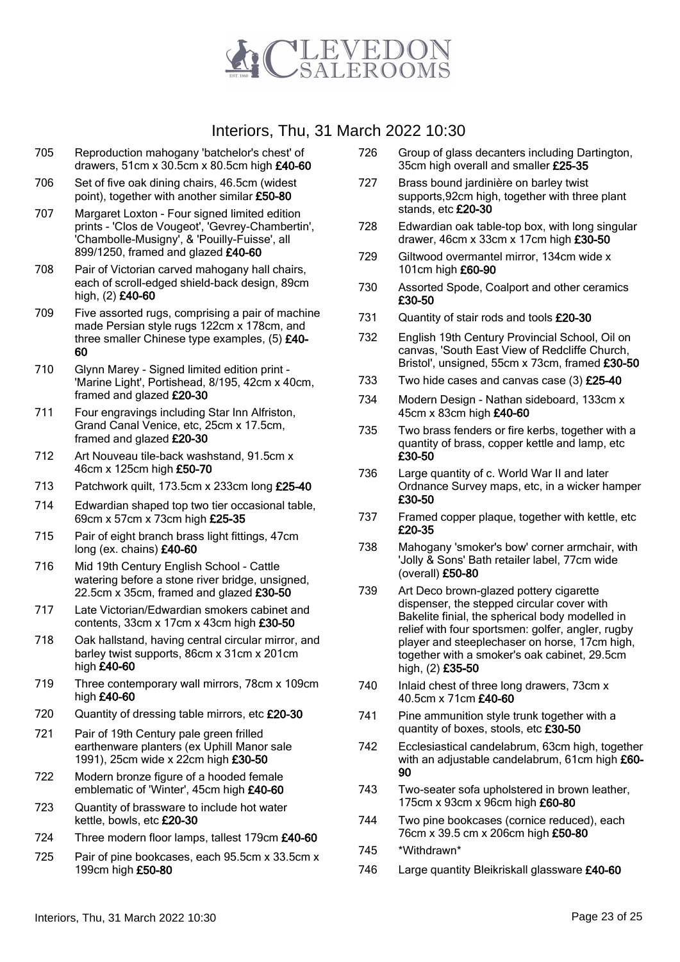

- 705 Reproduction mahogany 'batchelor's chest' of drawers, 51cm x 30.5cm x 80.5cm high £40-60
- 706 Set of five oak dining chairs, 46.5cm (widest point), together with another similar £50-80
- 707 Margaret Loxton Four signed limited edition prints - 'Clos de Vougeot', 'Gevrey-Chambertin', 'Chambolle-Musigny', & 'Pouilly-Fuisse', all 899/1250, framed and glazed £40-60
- 708 Pair of Victorian carved mahogany hall chairs, each of scroll-edged shield-back design, 89cm high, (2) £40-60
- 709 Five assorted rugs, comprising a pair of machine made Persian style rugs 122cm x 178cm, and three smaller Chinese type examples, (5) £40- 60
- 710 Glynn Marey Signed limited edition print 'Marine Light', Portishead, 8/195, 42cm x 40cm, framed and glazed £20-30
- 711 Four engravings including Star Inn Alfriston, Grand Canal Venice, etc, 25cm x 17.5cm, framed and glazed £20-30
- 712 Art Nouveau tile-back washstand, 91.5cm x 46cm x 125cm high £50-70
- 713 Patchwork quilt, 173.5cm x 233cm long £25-40
- 714 Edwardian shaped top two tier occasional table, 69cm x 57cm x 73cm high £25-35
- 715 Pair of eight branch brass light fittings, 47cm long (ex. chains) £40-60
- 716 Mid 19th Century English School Cattle watering before a stone river bridge, unsigned, 22.5cm x 35cm, framed and glazed £30-50
- 717 Late Victorian/Edwardian smokers cabinet and contents, 33cm x 17cm x 43cm high £30-50
- 718 Oak hallstand, having central circular mirror, and barley twist supports, 86cm x 31cm x 201cm high £40-60
- 719 Three contemporary wall mirrors, 78cm x 109cm high £40-60
- 720 Quantity of dressing table mirrors, etc £20-30
- 721 Pair of 19th Century pale green frilled earthenware planters (ex Uphill Manor sale 1991), 25cm wide x 22cm high £30-50
- 722 Modern bronze figure of a hooded female emblematic of 'Winter', 45cm high £40-60
- 723 Quantity of brassware to include hot water kettle, bowls, etc £20-30
- 724 Three modern floor lamps, tallest 179cm £40-60
- 725 Pair of pine bookcases, each 95.5cm x 33.5cm x 199cm high £50-80
- 726 Group of glass decanters including Dartington, 35cm high overall and smaller £25-35
- 727 Brass bound jardinière on barley twist supports,92cm high, together with three plant stands, etc £20-30
- 728 Edwardian oak table-top box, with long singular drawer, 46cm x 33cm x 17cm high £30-50
- 729 Giltwood overmantel mirror, 134cm wide x 101cm high £60-90
- 730 Assorted Spode, Coalport and other ceramics £30-50
- 731 Quantity of stair rods and tools £20-30
- 732 English 19th Century Provincial School, Oil on canvas, 'South East View of Redcliffe Church, Bristol', unsigned, 55cm x 73cm, framed £30-50
- 733 Two hide cases and canvas case (3) £25-40
- 734 Modern Design Nathan sideboard, 133cm x 45cm x 83cm high £40-60
- 735 Two brass fenders or fire kerbs, together with a quantity of brass, copper kettle and lamp, etc £30-50
- 736 Large quantity of c. World War II and later Ordnance Survey maps, etc, in a wicker hamper £30-50
- 737 Framed copper plaque, together with kettle, etc £20-35
- 738 Mahogany 'smoker's bow' corner armchair, with 'Jolly & Sons' Bath retailer label, 77cm wide (overall) £50-80
- 739 Art Deco brown-glazed pottery cigarette dispenser, the stepped circular cover with Bakelite finial, the spherical body modelled in relief with four sportsmen: golfer, angler, rugby player and steeplechaser on horse, 17cm high, together with a smoker's oak cabinet, 29.5cm high, (2) £35-50
- 740 Inlaid chest of three long drawers, 73cm x 40.5cm x 71cm £40-60
- 741 Pine ammunition style trunk together with a quantity of boxes, stools, etc £30-50
- 742 Ecclesiastical candelabrum, 63cm high, together with an adjustable candelabrum, 61cm high £60-90
- 743 Two-seater sofa upholstered in brown leather, 175cm x 93cm x 96cm high £60-80
- 744 Two pine bookcases (cornice reduced), each 76cm x 39.5 cm x 206cm high £50-80
- 745 \*Withdrawn\*
- 746 Large quantity Bleikriskall glassware £40-60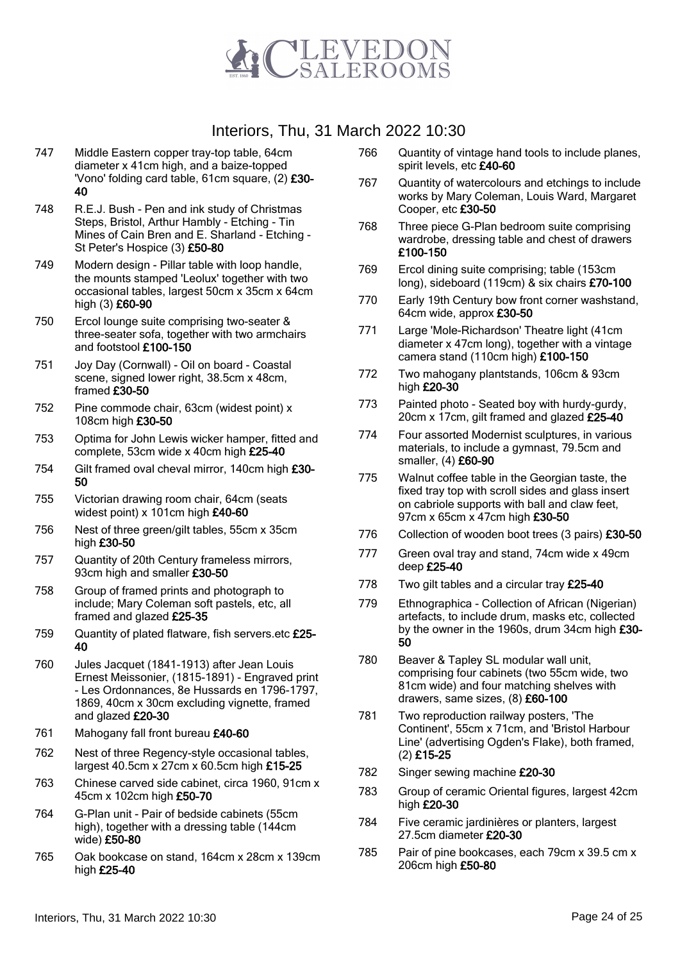

- 747 Middle Eastern copper tray-top table, 64cm diameter x 41cm high, and a baize-topped 'Vono' folding card table, 61cm square, (2) £30- 40
- 748 R.E.J. Bush Pen and ink study of Christmas Steps, Bristol, Arthur Hambly - Etching - Tin Mines of Cain Bren and E. Sharland - Etching - St Peter's Hospice (3) £50-80
- 749 Modern design Pillar table with loop handle, the mounts stamped 'Leolux' together with two occasional tables, largest 50cm x 35cm x 64cm high (3) £60-90
- 750 Ercol lounge suite comprising two-seater & three-seater sofa, together with two armchairs and footstool £100-150
- 751 Joy Day (Cornwall) Oil on board Coastal scene, signed lower right, 38.5cm x 48cm, framed £30-50
- 752 Pine commode chair, 63cm (widest point) x 108cm high £30-50
- 753 Optima for John Lewis wicker hamper, fitted and complete, 53cm wide x 40cm high £25-40
- 754 Gilt framed oval cheval mirror, 140cm high £30- 50
- 755 Victorian drawing room chair, 64cm (seats widest point) x 101cm high £40-60
- 756 Nest of three green/gilt tables, 55cm x 35cm high £30-50
- 757 Quantity of 20th Century frameless mirrors, 93cm high and smaller £30-50
- 758 Group of framed prints and photograph to include; Mary Coleman soft pastels, etc, all framed and glazed £25-35
- 759 Quantity of plated flatware, fish servers.etc £25- 40
- 760 Jules Jacquet (1841-1913) after Jean Louis Ernest Meissonier, (1815-1891) - Engraved print - Les Ordonnances, 8e Hussards en 1796-1797, 1869, 40cm x 30cm excluding vignette, framed and glazed £20-30
- 761 Mahogany fall front bureau £40-60
- 762 Nest of three Regency-style occasional tables, largest 40.5cm x 27cm x 60.5cm high £15-25
- 763 Chinese carved side cabinet, circa 1960, 91cm x 45cm x 102cm high £50-70
- 764 G-Plan unit Pair of bedside cabinets (55cm high), together with a dressing table (144cm wide) £50-80
- 765 Oak bookcase on stand, 164cm x 28cm x 139cm high £25-40
- 766 Quantity of vintage hand tools to include planes, spirit levels, etc £40-60
- 767 Quantity of watercolours and etchings to include works by Mary Coleman, Louis Ward, Margaret Cooper, etc £30-50
- 768 Three piece G-Plan bedroom suite comprising wardrobe, dressing table and chest of drawers £100-150
- 769 Ercol dining suite comprising; table (153cm long), sideboard (119cm) & six chairs £70-100
- 770 Early 19th Century bow front corner washstand, 64cm wide, approx £30-50
- 771 Large 'Mole-Richardson' Theatre light (41cm diameter x 47cm long), together with a vintage camera stand (110cm high) £100-150
- 772 Two mahogany plantstands, 106cm & 93cm high £20-30
- 773 Painted photo Seated boy with hurdy-gurdy, 20cm x 17cm, gilt framed and glazed £25-40
- 774 Four assorted Modernist sculptures, in various materials, to include a gymnast, 79.5cm and smaller, (4) £60-90
- 775 Walnut coffee table in the Georgian taste, the fixed tray top with scroll sides and glass insert on cabriole supports with ball and claw feet, 97cm x 65cm x 47cm high £30-50
- 776 Collection of wooden boot trees (3 pairs) £30-50
- 777 Green oval tray and stand, 74cm wide x 49cm deep £25-40
- 778 Two gilt tables and a circular tray £25-40
- 779 Ethnographica Collection of African (Nigerian) artefacts, to include drum, masks etc, collected by the owner in the 1960s, drum 34cm high £30- 50
- 780 Beaver & Tapley SL modular wall unit, comprising four cabinets (two 55cm wide, two 81cm wide) and four matching shelves with drawers, same sizes, (8) £60-100
- 781 Two reproduction railway posters, 'The Continent', 55cm x 71cm, and 'Bristol Harbour Line' (advertising Ogden's Flake), both framed, (2) £15-25
- 782 Singer sewing machine £20-30
- 783 Group of ceramic Oriental figures, largest 42cm high £20-30
- 784 Five ceramic jardinières or planters, largest 27.5cm diameter £20-30
- 785 Pair of pine bookcases, each 79cm x 39.5 cm x 206cm high £50-80